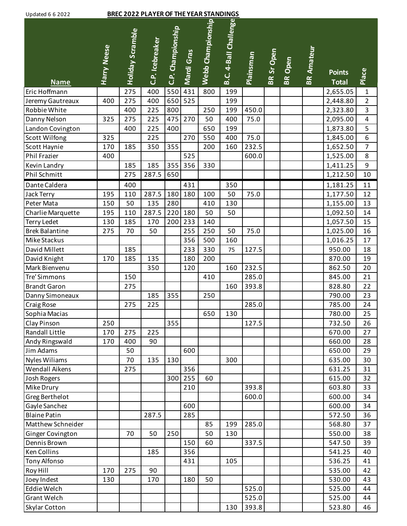| Updated 6 6 2022 |  |  |
|------------------|--|--|
|                  |  |  |

## Updated 6 6 2022 **BREC 2022 PLAYER OF THE YEAR STANDINGS**

| <b>Opualcu o o zozz</b>                     |                    |                         | <u>DILCZ 022 I CATCH OF THE TEAM STA</u> |                   |            |                   |                              |                  |            |                |                   |                      |                         |
|---------------------------------------------|--------------------|-------------------------|------------------------------------------|-------------------|------------|-------------------|------------------------------|------------------|------------|----------------|-------------------|----------------------|-------------------------|
|                                             |                    |                         |                                          |                   |            | Webb Championship | <b>B.C. 4-Ball Challenge</b> |                  |            |                |                   |                      |                         |
|                                             |                    |                         |                                          |                   |            |                   |                              |                  |            |                |                   |                      |                         |
|                                             |                    |                         |                                          |                   |            |                   |                              |                  |            |                |                   |                      |                         |
|                                             |                    |                         |                                          |                   |            |                   |                              |                  |            |                |                   |                      |                         |
|                                             |                    |                         |                                          |                   |            |                   |                              |                  |            |                |                   | <b>Points</b>        |                         |
|                                             | <b>Harry Neese</b> | <b>Holiday Scramble</b> | C.P. Icebreaker                          | C.P. Championship | Mardi Gras |                   |                              | <b>Plainsman</b> | BR Sr Open | <b>BR</b> Open | <b>BR Amateur</b> | <b>Total</b>         | Place                   |
| <b>Name</b><br>Eric Hoffmann                |                    | 275                     | 400                                      | 550               | 431        | 800               | 199                          |                  |            |                |                   | 2,655.05             | $\mathbf 1$             |
| Jeremy Gautreaux                            | 400                | 275                     | 400                                      | 650               | 525        |                   | 199                          |                  |            |                |                   | 2,448.80             | $\overline{2}$          |
| Robbie White                                |                    | 400                     | 225                                      | 800               |            | 250               | 199                          | 450.0            |            |                |                   | 2,323.80             | $\overline{3}$          |
| Danny Nelson                                | 325                | 275                     | 225                                      | 475               | 270        | 50                | 400                          | 75.0             |            |                |                   | 2,095.00             | $\overline{\mathbf{4}}$ |
| Landon Covington                            |                    | 400                     | 225                                      | 400               |            | 650               | 199                          |                  |            |                |                   | 1,873.80             | 5                       |
| <b>Scott Wilfong</b>                        | 325                |                         | 225                                      |                   | 270        | 550               | 400                          | 75.0             |            |                |                   | 1,845.00             | $\overline{6}$          |
| Scott Haynie                                | 170                | 185                     | 350                                      | 355               |            | 200               | 160                          | 232.5            |            |                |                   | 1,652.50             | $\overline{7}$          |
| Phil Frazier                                | 400                |                         |                                          |                   | 525        |                   |                              | 600.0            |            |                |                   | 1,525.00             | 8                       |
| Kevin Landry                                |                    | 185                     | 185                                      | 355               | 356        | 330               |                              |                  |            |                |                   | 1,411.25             | $\overline{9}$          |
| Phil Schmitt                                |                    | 275                     | 287.5                                    | 650               |            |                   |                              |                  |            |                |                   | 1,212.50             | 10                      |
| Dante Caldera                               |                    |                         |                                          |                   |            |                   |                              |                  |            |                |                   |                      |                         |
|                                             |                    | 400                     |                                          |                   | 431        |                   | 350<br>50                    |                  |            |                |                   | 1,181.25             | 11<br>12                |
| Jack Terry                                  | 195                | 110                     | 287.5                                    | 180<br>280        | 180        | 100               | 130                          | 75.0             |            |                |                   | 1,177.50             |                         |
| Peter Mata                                  | 150                | 50                      | 135<br>287.5                             | 220               | 180        | 410<br>50         | 50                           |                  |            |                |                   | 1,155.00             | 13                      |
| Charlie Marquette                           | 195<br>130         | 110<br>185              | 170                                      | 200               | 233        | 140               |                              |                  |            |                |                   | 1,092.50<br>1,057.50 | 14<br>15                |
| <b>Terry Ledet</b><br><b>Brek Balantine</b> | 275                | 70                      | 50                                       |                   | 255        | 250               | 50                           | 75.0             |            |                |                   |                      | 16                      |
|                                             |                    |                         |                                          |                   |            |                   | 160                          |                  |            |                |                   | 1,025.00             | 17                      |
| Mike Stackus<br>David Millett               |                    | 185                     |                                          |                   | 356<br>233 | 500<br>330        | 75                           | 127.5            |            |                |                   | 1,016.25<br>950.00   | 18                      |
|                                             |                    | 185                     | 135                                      |                   |            | 200               |                              |                  |            |                |                   | 870.00               |                         |
| David Knight<br>Mark Bienvenu               | 170                |                         |                                          |                   | 180<br>120 |                   | 160                          | 232.5            |            |                |                   |                      | 19                      |
| Tre' Simmons                                |                    | 150                     | 350                                      |                   |            | 410               |                              | 285.0            |            |                |                   | 862.50<br>845.00     | 20<br>21                |
| <b>Brandt Garon</b>                         |                    | 275                     |                                          |                   |            |                   | 160                          | 393.8            |            |                |                   | 828.80               | 22                      |
|                                             |                    |                         | 185                                      | 355               |            | 250               |                              |                  |            |                |                   |                      |                         |
| Danny Simoneaux                             |                    | 275                     | 225                                      |                   |            |                   |                              | 285.0            |            |                |                   | 790.00<br>785.00     | 23<br>24                |
| <b>Craig Rose</b><br>Sophia Macias          |                    |                         |                                          |                   |            | 650               | 130                          |                  |            |                |                   | 780.00               | $\overline{25}$         |
| Clay Pinson                                 | 250                |                         |                                          | 355               |            |                   |                              | 127.5            |            |                |                   | 732.50               | 26                      |
| Randall Little                              | 170                | 275                     | 225                                      |                   |            |                   |                              |                  |            |                |                   | 670.00               | 27                      |
|                                             | 170                | 400                     | 90                                       |                   |            |                   |                              |                  |            |                |                   | 660.00               | 28                      |
| Andy Ringswald<br>Jim Adams                 |                    | 50                      |                                          |                   | 600        |                   |                              |                  |            |                |                   | 650.00               | 29                      |
| <b>Nyles Wiliams</b>                        |                    | 70                      | 135                                      | 130               |            |                   | 300                          |                  |            |                |                   | 635.00               |                         |
| Wendall Aikens                              |                    | 275                     |                                          |                   | 356        |                   |                              |                  |            |                |                   | 631.25               | 30<br>31                |
|                                             |                    |                         |                                          | 300               | 255        | 60                |                              |                  |            |                |                   | 615.00               |                         |
| Josh Rogers<br>Mike Drury                   |                    |                         |                                          |                   | 210        |                   |                              | 393.8            |            |                |                   | 603.80               | 32<br>33                |
| Greg Berthelot                              |                    |                         |                                          |                   |            |                   |                              | 600.0            |            |                |                   | 600.00               | 34                      |
| Gayle Sanchez                               |                    |                         |                                          |                   | 600        |                   |                              |                  |            |                |                   | 600.00               | 34                      |
| <b>Blaine Patin</b>                         |                    |                         | 287.5                                    |                   | 285        |                   |                              |                  |            |                |                   | 572.50               | 36                      |
| Matthew Schneider                           |                    |                         |                                          |                   |            | 85                | 199                          | 285.0            |            |                |                   | 568.80               | 37                      |
| Ginger Covington                            |                    | 70                      | 50                                       | 250               |            | 50                | 130                          |                  |            |                |                   | 550.00               | 38                      |
| Dennis Brown                                |                    |                         |                                          |                   | 150        | 60                |                              | 337.5            |            |                |                   | 547.50               | 39                      |
| <b>Ken Collins</b>                          |                    |                         | 185                                      |                   | 356        |                   |                              |                  |            |                |                   | 541.25               | 40                      |
|                                             |                    |                         |                                          |                   | 431        |                   | 105                          |                  |            |                |                   | 536.25               | 41                      |
| Tony Alfonso<br>Roy Hill                    | 170                | 275                     | 90                                       |                   |            |                   |                              |                  |            |                |                   | 535.00               | 42                      |
| Joey Indest                                 | 130                |                         | 170                                      |                   | 180        | 50                |                              |                  |            |                |                   | 530.00               | 43                      |
| Eddie Welch                                 |                    |                         |                                          |                   |            |                   |                              | 525.0            |            |                |                   | 525.00               | 44                      |
| Grant Welch                                 |                    |                         |                                          |                   |            |                   |                              | 525.0            |            |                |                   | 525.00               | 44                      |
| <b>Skylar Cotton</b>                        |                    |                         |                                          |                   |            |                   | 130                          | 393.8            |            |                |                   | 523.80               | 46                      |
|                                             |                    |                         |                                          |                   |            |                   |                              |                  |            |                |                   |                      |                         |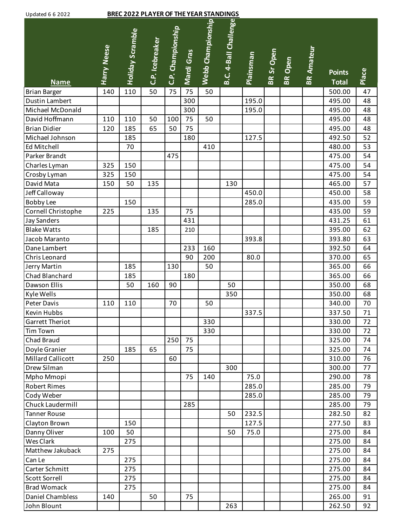## BREC 2022 PLAYER OF THE YEAR STANDINGS

| opuuttu o o zozz                             |                    |                         |                 |                   |                 |                   |                       |                  |            |         |                   |                  |              |
|----------------------------------------------|--------------------|-------------------------|-----------------|-------------------|-----------------|-------------------|-----------------------|------------------|------------|---------|-------------------|------------------|--------------|
|                                              | <b>Harry Neese</b> | <b>Holiday Scramble</b> | C.P. Icebreaker | C.P. Championship | Mardi Gras      | Webb Championship | B.C. 4-Ball Challenge | <b>Plainsman</b> | BR Sr Open | BR Open | <b>BR Amateur</b> | <b>Points</b>    |              |
|                                              |                    |                         |                 |                   |                 |                   |                       |                  |            |         |                   | <b>Total</b>     | Place        |
| <b>Name</b>                                  | 140                | 110                     | 50              | 75                | $\overline{75}$ | 50                |                       |                  |            |         |                   |                  | 47           |
| <b>Brian Barger</b><br><b>Dustin Lambert</b> |                    |                         |                 |                   | 300             |                   |                       | 195.0            |            |         |                   | 500.00<br>495.00 | 48           |
| Michael McDonald                             |                    |                         |                 |                   | 300             |                   |                       | 195.0            |            |         |                   | 495.00           | 48           |
| David Hoffmann                               | 110                | 110                     | 50              | 100               | 75              | 50                |                       |                  |            |         |                   | 495.00           | 48           |
| <b>Brian Didier</b>                          | 120                | 185                     | 65              | 50                | 75              |                   |                       |                  |            |         |                   | 495.00           | 48           |
| Michael Johnson                              |                    | 185                     |                 |                   | 180             |                   |                       | 127.5            |            |         |                   | 492.50           | 52           |
| Ed Mitchell                                  |                    | 70                      |                 |                   |                 | 410               |                       |                  |            |         |                   | 480.00           | 53           |
| Parker Brandt                                |                    |                         |                 | 475               |                 |                   |                       |                  |            |         |                   | 475.00           | 54           |
| Charles Lyman                                | 325                | 150                     |                 |                   |                 |                   |                       |                  |            |         |                   | 475.00           | 54           |
| Crosby Lyman                                 | 325                | 150                     |                 |                   |                 |                   |                       |                  |            |         |                   | 475.00           | 54           |
| David Mata                                   | 150                | 50                      | 135             |                   |                 |                   | 130                   |                  |            |         |                   | 465.00           | 57           |
| Jeff Calloway                                |                    |                         |                 |                   |                 |                   |                       | 450.0            |            |         |                   | 450.00           | 58           |
| <b>Bobby Lee</b>                             |                    | 150                     |                 |                   |                 |                   |                       | 285.0            |            |         |                   | 435.00           | 59           |
| Cornell Christophe                           | 225                |                         | 135             |                   | 75              |                   |                       |                  |            |         |                   | 435.00           | 59           |
| <b>Jay Sanders</b>                           |                    |                         |                 |                   | 431             |                   |                       |                  |            |         |                   | 431.25           | 61           |
| <b>Blake Watts</b>                           |                    |                         | 185             |                   | 210             |                   |                       |                  |            |         |                   | 395.00           | 62           |
| Jacob Maranto                                |                    |                         |                 |                   |                 |                   |                       | 393.8            |            |         |                   | 393.80           | 63           |
| Dane Lambert                                 |                    |                         |                 |                   | 233             | 160               |                       |                  |            |         |                   | 392.50           | 64           |
| Chris Leonard                                |                    |                         |                 |                   | 90              | 200               |                       | 80.0             |            |         |                   | 370.00           | 65           |
|                                              |                    | 185                     |                 | 130               |                 | 50                |                       |                  |            |         |                   | 365.00           | 66           |
| Jerry Martin<br>Chad Blanchard               |                    | 185                     |                 |                   | 180             |                   |                       |                  |            |         |                   | 365.00           | 66           |
| Dawson Ellis                                 |                    | 50                      | 160             | 90                |                 |                   | 50                    |                  |            |         |                   | 350.00           | 68           |
|                                              |                    |                         |                 |                   |                 |                   | 350                   |                  |            |         |                   | 350.00           | 68           |
| Kyle Wells<br>Peter Davis                    | 110                | 110                     |                 | 70                |                 | 50                |                       |                  |            |         |                   | 340.00           | 70           |
| Kevin Hubbs                                  |                    |                         |                 |                   |                 |                   |                       | 337.5            |            |         |                   | 337.50           |              |
| Garrett Theriot                              |                    |                         |                 |                   |                 | 330               |                       |                  |            |         |                   | 330.00           | $71\,$<br>72 |
| <b>Tim Town</b>                              |                    |                         |                 |                   |                 | 330               |                       |                  |            |         |                   | 330.00           | 72           |
| <b>Chad Braud</b>                            |                    |                         |                 | 250               | 75              |                   |                       |                  |            |         |                   | 325.00           | 74           |
| Doyle Granier                                |                    | 185                     | 65              |                   | 75              |                   |                       |                  |            |         |                   | 325.00           | 74           |
| Millard Callicott                            | 250                |                         |                 | 60                |                 |                   |                       |                  |            |         |                   | 310.00           | 76           |
| Drew Silman                                  |                    |                         |                 |                   |                 |                   | 300                   |                  |            |         |                   | 300.00           | 77           |
| Mpho Mmopi                                   |                    |                         |                 |                   | 75              | 140               |                       | 75.0             |            |         |                   | 290.00           | 78           |
| <b>Robert Rimes</b>                          |                    |                         |                 |                   |                 |                   |                       | 285.0            |            |         |                   | 285.00           | 79           |
| Cody Weber                                   |                    |                         |                 |                   |                 |                   |                       | 285.0            |            |         |                   | 285.00           | 79           |
| Chuck Laudermill                             |                    |                         |                 |                   | 285             |                   |                       |                  |            |         |                   | 285.00           | 79           |
| <b>Tanner Rouse</b>                          |                    |                         |                 |                   |                 |                   | 50                    | 232.5            |            |         |                   | 282.50           | 82           |
|                                              |                    |                         |                 |                   |                 |                   |                       |                  |            |         |                   |                  |              |
| Clayton Brown                                |                    | 150                     |                 |                   |                 |                   |                       | 127.5            |            |         |                   | 277.50           | 83           |
| Danny Oliver                                 | 100                | 50                      |                 |                   |                 |                   | 50                    | 75.0             |            |         |                   | 275.00           | 84           |
| Wes Clark<br>Matthew Jakuback                | 275                | 275                     |                 |                   |                 |                   |                       |                  |            |         |                   | 275.00           | 84           |
|                                              |                    |                         |                 |                   |                 |                   |                       |                  |            |         |                   | 275.00           | 84           |
| Can Le                                       |                    | 275                     |                 |                   |                 |                   |                       |                  |            |         |                   | 275.00           | 84           |
| Carter Schmitt                               |                    | 275                     |                 |                   |                 |                   |                       |                  |            |         |                   | 275.00           | 84           |
| Scott Sorrell                                |                    | 275                     |                 |                   |                 |                   |                       |                  |            |         |                   | 275.00           | 84           |
| <b>Brad Womack</b><br>Daniel Chambless       | 140                | 275                     | 50              |                   | 75              |                   |                       |                  |            |         |                   | 275.00<br>265.00 | 84           |
|                                              |                    |                         |                 |                   |                 |                   |                       |                  |            |         |                   |                  | 91           |
| John Blount                                  |                    |                         |                 |                   |                 |                   | 263                   |                  |            |         |                   | 262.50           | 92           |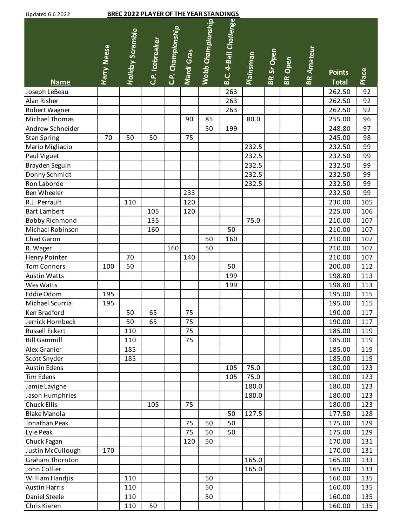| B.C. 4-Ball Challenge<br>Webb Championship<br>C.P. Championship<br>Holiday Scramble<br>C.P. Icebreaker<br><b>Harry Neese</b><br><b>BR Amateur</b><br>Mardi Gras<br>BR Sr Open<br><b>Plainsman</b><br>BR Open<br>Place<br><b>Points</b><br><b>Total</b><br><b>Name</b><br>92<br>262.50<br>Joseph LeBeau<br>263<br>263<br>92<br>Alan Risher<br>262.50<br>Robert Wagner<br>263<br>262.50<br>92<br>Michael Thomas<br>80.0<br>255.00<br>96<br>90<br>85<br>Andrew Schneider<br>248.80<br>50<br>199<br>97<br>245.00<br><b>Stan Spring</b><br>70<br>75<br>98<br>50<br>50<br>Mario Migliacio<br>232.5<br>232.50<br>99<br>232.5<br>232.50<br>Paul Viguet<br>99<br>232.5<br>Brayden Seguin<br>232.50<br>99<br>Donny Schmidt<br>232.5<br>232.50<br>99<br>Ron Laborde<br>232.5<br>232.50<br>99<br>Ben Wheeler<br>232.50<br>233<br>99<br>R.J. Perrault<br>110<br>230.00<br>105<br>120<br><b>Bart Lambert</b><br>225.00<br>106<br>105<br>120<br><b>Bobby Richmond</b><br>135<br>75.0<br>210.00<br>107<br>Michael Robinson<br>50<br>107<br>160<br>210.00<br>Chad Garon<br>210.00<br>107<br>50<br>160<br>160<br>210.00<br>107<br>R. Wager<br>50<br>Henry Pointer<br>107<br>70<br>210.00<br>140<br><b>Tom Connors</b><br>50<br>50<br>200.00<br>112<br>100<br>198.80<br>113<br><b>Austin Watts</b><br>199<br>198.80<br>113<br>Wes Watts<br>199<br>Eddie Odom<br>195.00<br>195<br>115<br>195.00<br>Michael Scurria<br>115<br>195<br>Ken Bradford<br>75<br>50<br>65<br>190.00<br>117<br>Jerrick Hornbeck<br>65<br>50<br>75<br>190.00<br>117<br>75<br>Russell Eckert<br>185.00<br>119<br>110<br><b>Bill Gammill</b><br>75<br>185.00<br>110<br>119<br>Alex Granier<br>185.00<br>185<br>119<br>185.00<br>Scott Snyder<br>185<br>119<br>75.0<br>123<br><b>Austin Edens</b><br>105<br>180.00<br><b>Tim Edens</b><br>75.0<br>180.00<br>123<br>105<br>Jamie Lavigne<br>180.0<br>180.00<br>123<br>180.0<br>180.00<br>123<br>Jason Humphries<br><b>Chuck Ellis</b><br>105<br>75<br>180.00<br>123<br><b>Blake Manola</b><br>177.50<br>50<br>127.5<br>128<br>75<br>50<br>50<br>175.00<br>129<br>Jonathan Peak<br>75<br>50<br>175.00<br>129<br>Lyle Peak<br>50<br>Chuck Fagan<br>50<br>170.00<br>131<br>120<br>Justin McCullough<br>170.00<br>131<br>170<br>Graham Thornton<br>165.0<br>165.00<br>133<br>John Collier<br>165.00<br>165.0<br>133<br>William Handjis<br>50<br>160.00<br>135<br>110<br><b>Austin Harris</b><br>110<br>50<br>160.00<br>135<br>Daniel Steele<br>50<br>160.00<br>135<br>110 | <b>BREC 2022 PLAYER OF THE YEAR STANDINGS</b><br><b>Updated 6 6 2022</b> |  |     |    |  |  |  |  |  |  |  |        |     |
|----------------------------------------------------------------------------------------------------------------------------------------------------------------------------------------------------------------------------------------------------------------------------------------------------------------------------------------------------------------------------------------------------------------------------------------------------------------------------------------------------------------------------------------------------------------------------------------------------------------------------------------------------------------------------------------------------------------------------------------------------------------------------------------------------------------------------------------------------------------------------------------------------------------------------------------------------------------------------------------------------------------------------------------------------------------------------------------------------------------------------------------------------------------------------------------------------------------------------------------------------------------------------------------------------------------------------------------------------------------------------------------------------------------------------------------------------------------------------------------------------------------------------------------------------------------------------------------------------------------------------------------------------------------------------------------------------------------------------------------------------------------------------------------------------------------------------------------------------------------------------------------------------------------------------------------------------------------------------------------------------------------------------------------------------------------------------------------------------------------------------------------------------------------------------------------------------------------------------------------------------------------------------------------------------------------------------------------------------------------------------------------------------------------------------------------------------------------------|--------------------------------------------------------------------------|--|-----|----|--|--|--|--|--|--|--|--------|-----|
|                                                                                                                                                                                                                                                                                                                                                                                                                                                                                                                                                                                                                                                                                                                                                                                                                                                                                                                                                                                                                                                                                                                                                                                                                                                                                                                                                                                                                                                                                                                                                                                                                                                                                                                                                                                                                                                                                                                                                                                                                                                                                                                                                                                                                                                                                                                                                                                                                                                                      |                                                                          |  |     |    |  |  |  |  |  |  |  |        |     |
|                                                                                                                                                                                                                                                                                                                                                                                                                                                                                                                                                                                                                                                                                                                                                                                                                                                                                                                                                                                                                                                                                                                                                                                                                                                                                                                                                                                                                                                                                                                                                                                                                                                                                                                                                                                                                                                                                                                                                                                                                                                                                                                                                                                                                                                                                                                                                                                                                                                                      |                                                                          |  |     |    |  |  |  |  |  |  |  |        |     |
|                                                                                                                                                                                                                                                                                                                                                                                                                                                                                                                                                                                                                                                                                                                                                                                                                                                                                                                                                                                                                                                                                                                                                                                                                                                                                                                                                                                                                                                                                                                                                                                                                                                                                                                                                                                                                                                                                                                                                                                                                                                                                                                                                                                                                                                                                                                                                                                                                                                                      |                                                                          |  |     |    |  |  |  |  |  |  |  |        |     |
|                                                                                                                                                                                                                                                                                                                                                                                                                                                                                                                                                                                                                                                                                                                                                                                                                                                                                                                                                                                                                                                                                                                                                                                                                                                                                                                                                                                                                                                                                                                                                                                                                                                                                                                                                                                                                                                                                                                                                                                                                                                                                                                                                                                                                                                                                                                                                                                                                                                                      |                                                                          |  |     |    |  |  |  |  |  |  |  |        |     |
|                                                                                                                                                                                                                                                                                                                                                                                                                                                                                                                                                                                                                                                                                                                                                                                                                                                                                                                                                                                                                                                                                                                                                                                                                                                                                                                                                                                                                                                                                                                                                                                                                                                                                                                                                                                                                                                                                                                                                                                                                                                                                                                                                                                                                                                                                                                                                                                                                                                                      |                                                                          |  |     |    |  |  |  |  |  |  |  |        |     |
|                                                                                                                                                                                                                                                                                                                                                                                                                                                                                                                                                                                                                                                                                                                                                                                                                                                                                                                                                                                                                                                                                                                                                                                                                                                                                                                                                                                                                                                                                                                                                                                                                                                                                                                                                                                                                                                                                                                                                                                                                                                                                                                                                                                                                                                                                                                                                                                                                                                                      |                                                                          |  |     |    |  |  |  |  |  |  |  |        |     |
|                                                                                                                                                                                                                                                                                                                                                                                                                                                                                                                                                                                                                                                                                                                                                                                                                                                                                                                                                                                                                                                                                                                                                                                                                                                                                                                                                                                                                                                                                                                                                                                                                                                                                                                                                                                                                                                                                                                                                                                                                                                                                                                                                                                                                                                                                                                                                                                                                                                                      |                                                                          |  |     |    |  |  |  |  |  |  |  |        |     |
|                                                                                                                                                                                                                                                                                                                                                                                                                                                                                                                                                                                                                                                                                                                                                                                                                                                                                                                                                                                                                                                                                                                                                                                                                                                                                                                                                                                                                                                                                                                                                                                                                                                                                                                                                                                                                                                                                                                                                                                                                                                                                                                                                                                                                                                                                                                                                                                                                                                                      |                                                                          |  |     |    |  |  |  |  |  |  |  |        |     |
|                                                                                                                                                                                                                                                                                                                                                                                                                                                                                                                                                                                                                                                                                                                                                                                                                                                                                                                                                                                                                                                                                                                                                                                                                                                                                                                                                                                                                                                                                                                                                                                                                                                                                                                                                                                                                                                                                                                                                                                                                                                                                                                                                                                                                                                                                                                                                                                                                                                                      |                                                                          |  |     |    |  |  |  |  |  |  |  |        |     |
|                                                                                                                                                                                                                                                                                                                                                                                                                                                                                                                                                                                                                                                                                                                                                                                                                                                                                                                                                                                                                                                                                                                                                                                                                                                                                                                                                                                                                                                                                                                                                                                                                                                                                                                                                                                                                                                                                                                                                                                                                                                                                                                                                                                                                                                                                                                                                                                                                                                                      |                                                                          |  |     |    |  |  |  |  |  |  |  |        |     |
|                                                                                                                                                                                                                                                                                                                                                                                                                                                                                                                                                                                                                                                                                                                                                                                                                                                                                                                                                                                                                                                                                                                                                                                                                                                                                                                                                                                                                                                                                                                                                                                                                                                                                                                                                                                                                                                                                                                                                                                                                                                                                                                                                                                                                                                                                                                                                                                                                                                                      |                                                                          |  |     |    |  |  |  |  |  |  |  |        |     |
|                                                                                                                                                                                                                                                                                                                                                                                                                                                                                                                                                                                                                                                                                                                                                                                                                                                                                                                                                                                                                                                                                                                                                                                                                                                                                                                                                                                                                                                                                                                                                                                                                                                                                                                                                                                                                                                                                                                                                                                                                                                                                                                                                                                                                                                                                                                                                                                                                                                                      |                                                                          |  |     |    |  |  |  |  |  |  |  |        |     |
|                                                                                                                                                                                                                                                                                                                                                                                                                                                                                                                                                                                                                                                                                                                                                                                                                                                                                                                                                                                                                                                                                                                                                                                                                                                                                                                                                                                                                                                                                                                                                                                                                                                                                                                                                                                                                                                                                                                                                                                                                                                                                                                                                                                                                                                                                                                                                                                                                                                                      |                                                                          |  |     |    |  |  |  |  |  |  |  |        |     |
|                                                                                                                                                                                                                                                                                                                                                                                                                                                                                                                                                                                                                                                                                                                                                                                                                                                                                                                                                                                                                                                                                                                                                                                                                                                                                                                                                                                                                                                                                                                                                                                                                                                                                                                                                                                                                                                                                                                                                                                                                                                                                                                                                                                                                                                                                                                                                                                                                                                                      |                                                                          |  |     |    |  |  |  |  |  |  |  |        |     |
|                                                                                                                                                                                                                                                                                                                                                                                                                                                                                                                                                                                                                                                                                                                                                                                                                                                                                                                                                                                                                                                                                                                                                                                                                                                                                                                                                                                                                                                                                                                                                                                                                                                                                                                                                                                                                                                                                                                                                                                                                                                                                                                                                                                                                                                                                                                                                                                                                                                                      |                                                                          |  |     |    |  |  |  |  |  |  |  |        |     |
|                                                                                                                                                                                                                                                                                                                                                                                                                                                                                                                                                                                                                                                                                                                                                                                                                                                                                                                                                                                                                                                                                                                                                                                                                                                                                                                                                                                                                                                                                                                                                                                                                                                                                                                                                                                                                                                                                                                                                                                                                                                                                                                                                                                                                                                                                                                                                                                                                                                                      |                                                                          |  |     |    |  |  |  |  |  |  |  |        |     |
|                                                                                                                                                                                                                                                                                                                                                                                                                                                                                                                                                                                                                                                                                                                                                                                                                                                                                                                                                                                                                                                                                                                                                                                                                                                                                                                                                                                                                                                                                                                                                                                                                                                                                                                                                                                                                                                                                                                                                                                                                                                                                                                                                                                                                                                                                                                                                                                                                                                                      |                                                                          |  |     |    |  |  |  |  |  |  |  |        |     |
|                                                                                                                                                                                                                                                                                                                                                                                                                                                                                                                                                                                                                                                                                                                                                                                                                                                                                                                                                                                                                                                                                                                                                                                                                                                                                                                                                                                                                                                                                                                                                                                                                                                                                                                                                                                                                                                                                                                                                                                                                                                                                                                                                                                                                                                                                                                                                                                                                                                                      |                                                                          |  |     |    |  |  |  |  |  |  |  |        |     |
|                                                                                                                                                                                                                                                                                                                                                                                                                                                                                                                                                                                                                                                                                                                                                                                                                                                                                                                                                                                                                                                                                                                                                                                                                                                                                                                                                                                                                                                                                                                                                                                                                                                                                                                                                                                                                                                                                                                                                                                                                                                                                                                                                                                                                                                                                                                                                                                                                                                                      |                                                                          |  |     |    |  |  |  |  |  |  |  |        |     |
|                                                                                                                                                                                                                                                                                                                                                                                                                                                                                                                                                                                                                                                                                                                                                                                                                                                                                                                                                                                                                                                                                                                                                                                                                                                                                                                                                                                                                                                                                                                                                                                                                                                                                                                                                                                                                                                                                                                                                                                                                                                                                                                                                                                                                                                                                                                                                                                                                                                                      |                                                                          |  |     |    |  |  |  |  |  |  |  |        |     |
|                                                                                                                                                                                                                                                                                                                                                                                                                                                                                                                                                                                                                                                                                                                                                                                                                                                                                                                                                                                                                                                                                                                                                                                                                                                                                                                                                                                                                                                                                                                                                                                                                                                                                                                                                                                                                                                                                                                                                                                                                                                                                                                                                                                                                                                                                                                                                                                                                                                                      |                                                                          |  |     |    |  |  |  |  |  |  |  |        |     |
|                                                                                                                                                                                                                                                                                                                                                                                                                                                                                                                                                                                                                                                                                                                                                                                                                                                                                                                                                                                                                                                                                                                                                                                                                                                                                                                                                                                                                                                                                                                                                                                                                                                                                                                                                                                                                                                                                                                                                                                                                                                                                                                                                                                                                                                                                                                                                                                                                                                                      |                                                                          |  |     |    |  |  |  |  |  |  |  |        |     |
|                                                                                                                                                                                                                                                                                                                                                                                                                                                                                                                                                                                                                                                                                                                                                                                                                                                                                                                                                                                                                                                                                                                                                                                                                                                                                                                                                                                                                                                                                                                                                                                                                                                                                                                                                                                                                                                                                                                                                                                                                                                                                                                                                                                                                                                                                                                                                                                                                                                                      |                                                                          |  |     |    |  |  |  |  |  |  |  |        |     |
|                                                                                                                                                                                                                                                                                                                                                                                                                                                                                                                                                                                                                                                                                                                                                                                                                                                                                                                                                                                                                                                                                                                                                                                                                                                                                                                                                                                                                                                                                                                                                                                                                                                                                                                                                                                                                                                                                                                                                                                                                                                                                                                                                                                                                                                                                                                                                                                                                                                                      |                                                                          |  |     |    |  |  |  |  |  |  |  |        |     |
|                                                                                                                                                                                                                                                                                                                                                                                                                                                                                                                                                                                                                                                                                                                                                                                                                                                                                                                                                                                                                                                                                                                                                                                                                                                                                                                                                                                                                                                                                                                                                                                                                                                                                                                                                                                                                                                                                                                                                                                                                                                                                                                                                                                                                                                                                                                                                                                                                                                                      |                                                                          |  |     |    |  |  |  |  |  |  |  |        |     |
|                                                                                                                                                                                                                                                                                                                                                                                                                                                                                                                                                                                                                                                                                                                                                                                                                                                                                                                                                                                                                                                                                                                                                                                                                                                                                                                                                                                                                                                                                                                                                                                                                                                                                                                                                                                                                                                                                                                                                                                                                                                                                                                                                                                                                                                                                                                                                                                                                                                                      |                                                                          |  |     |    |  |  |  |  |  |  |  |        |     |
|                                                                                                                                                                                                                                                                                                                                                                                                                                                                                                                                                                                                                                                                                                                                                                                                                                                                                                                                                                                                                                                                                                                                                                                                                                                                                                                                                                                                                                                                                                                                                                                                                                                                                                                                                                                                                                                                                                                                                                                                                                                                                                                                                                                                                                                                                                                                                                                                                                                                      |                                                                          |  |     |    |  |  |  |  |  |  |  |        |     |
|                                                                                                                                                                                                                                                                                                                                                                                                                                                                                                                                                                                                                                                                                                                                                                                                                                                                                                                                                                                                                                                                                                                                                                                                                                                                                                                                                                                                                                                                                                                                                                                                                                                                                                                                                                                                                                                                                                                                                                                                                                                                                                                                                                                                                                                                                                                                                                                                                                                                      |                                                                          |  |     |    |  |  |  |  |  |  |  |        |     |
|                                                                                                                                                                                                                                                                                                                                                                                                                                                                                                                                                                                                                                                                                                                                                                                                                                                                                                                                                                                                                                                                                                                                                                                                                                                                                                                                                                                                                                                                                                                                                                                                                                                                                                                                                                                                                                                                                                                                                                                                                                                                                                                                                                                                                                                                                                                                                                                                                                                                      |                                                                          |  |     |    |  |  |  |  |  |  |  |        |     |
|                                                                                                                                                                                                                                                                                                                                                                                                                                                                                                                                                                                                                                                                                                                                                                                                                                                                                                                                                                                                                                                                                                                                                                                                                                                                                                                                                                                                                                                                                                                                                                                                                                                                                                                                                                                                                                                                                                                                                                                                                                                                                                                                                                                                                                                                                                                                                                                                                                                                      |                                                                          |  |     |    |  |  |  |  |  |  |  |        |     |
|                                                                                                                                                                                                                                                                                                                                                                                                                                                                                                                                                                                                                                                                                                                                                                                                                                                                                                                                                                                                                                                                                                                                                                                                                                                                                                                                                                                                                                                                                                                                                                                                                                                                                                                                                                                                                                                                                                                                                                                                                                                                                                                                                                                                                                                                                                                                                                                                                                                                      |                                                                          |  |     |    |  |  |  |  |  |  |  |        |     |
|                                                                                                                                                                                                                                                                                                                                                                                                                                                                                                                                                                                                                                                                                                                                                                                                                                                                                                                                                                                                                                                                                                                                                                                                                                                                                                                                                                                                                                                                                                                                                                                                                                                                                                                                                                                                                                                                                                                                                                                                                                                                                                                                                                                                                                                                                                                                                                                                                                                                      |                                                                          |  |     |    |  |  |  |  |  |  |  |        |     |
|                                                                                                                                                                                                                                                                                                                                                                                                                                                                                                                                                                                                                                                                                                                                                                                                                                                                                                                                                                                                                                                                                                                                                                                                                                                                                                                                                                                                                                                                                                                                                                                                                                                                                                                                                                                                                                                                                                                                                                                                                                                                                                                                                                                                                                                                                                                                                                                                                                                                      |                                                                          |  |     |    |  |  |  |  |  |  |  |        |     |
|                                                                                                                                                                                                                                                                                                                                                                                                                                                                                                                                                                                                                                                                                                                                                                                                                                                                                                                                                                                                                                                                                                                                                                                                                                                                                                                                                                                                                                                                                                                                                                                                                                                                                                                                                                                                                                                                                                                                                                                                                                                                                                                                                                                                                                                                                                                                                                                                                                                                      |                                                                          |  |     |    |  |  |  |  |  |  |  |        |     |
|                                                                                                                                                                                                                                                                                                                                                                                                                                                                                                                                                                                                                                                                                                                                                                                                                                                                                                                                                                                                                                                                                                                                                                                                                                                                                                                                                                                                                                                                                                                                                                                                                                                                                                                                                                                                                                                                                                                                                                                                                                                                                                                                                                                                                                                                                                                                                                                                                                                                      |                                                                          |  |     |    |  |  |  |  |  |  |  |        |     |
|                                                                                                                                                                                                                                                                                                                                                                                                                                                                                                                                                                                                                                                                                                                                                                                                                                                                                                                                                                                                                                                                                                                                                                                                                                                                                                                                                                                                                                                                                                                                                                                                                                                                                                                                                                                                                                                                                                                                                                                                                                                                                                                                                                                                                                                                                                                                                                                                                                                                      |                                                                          |  |     |    |  |  |  |  |  |  |  |        |     |
|                                                                                                                                                                                                                                                                                                                                                                                                                                                                                                                                                                                                                                                                                                                                                                                                                                                                                                                                                                                                                                                                                                                                                                                                                                                                                                                                                                                                                                                                                                                                                                                                                                                                                                                                                                                                                                                                                                                                                                                                                                                                                                                                                                                                                                                                                                                                                                                                                                                                      |                                                                          |  |     |    |  |  |  |  |  |  |  |        |     |
|                                                                                                                                                                                                                                                                                                                                                                                                                                                                                                                                                                                                                                                                                                                                                                                                                                                                                                                                                                                                                                                                                                                                                                                                                                                                                                                                                                                                                                                                                                                                                                                                                                                                                                                                                                                                                                                                                                                                                                                                                                                                                                                                                                                                                                                                                                                                                                                                                                                                      |                                                                          |  |     |    |  |  |  |  |  |  |  |        |     |
|                                                                                                                                                                                                                                                                                                                                                                                                                                                                                                                                                                                                                                                                                                                                                                                                                                                                                                                                                                                                                                                                                                                                                                                                                                                                                                                                                                                                                                                                                                                                                                                                                                                                                                                                                                                                                                                                                                                                                                                                                                                                                                                                                                                                                                                                                                                                                                                                                                                                      |                                                                          |  |     |    |  |  |  |  |  |  |  |        |     |
|                                                                                                                                                                                                                                                                                                                                                                                                                                                                                                                                                                                                                                                                                                                                                                                                                                                                                                                                                                                                                                                                                                                                                                                                                                                                                                                                                                                                                                                                                                                                                                                                                                                                                                                                                                                                                                                                                                                                                                                                                                                                                                                                                                                                                                                                                                                                                                                                                                                                      |                                                                          |  |     |    |  |  |  |  |  |  |  |        |     |
|                                                                                                                                                                                                                                                                                                                                                                                                                                                                                                                                                                                                                                                                                                                                                                                                                                                                                                                                                                                                                                                                                                                                                                                                                                                                                                                                                                                                                                                                                                                                                                                                                                                                                                                                                                                                                                                                                                                                                                                                                                                                                                                                                                                                                                                                                                                                                                                                                                                                      |                                                                          |  |     |    |  |  |  |  |  |  |  |        |     |
|                                                                                                                                                                                                                                                                                                                                                                                                                                                                                                                                                                                                                                                                                                                                                                                                                                                                                                                                                                                                                                                                                                                                                                                                                                                                                                                                                                                                                                                                                                                                                                                                                                                                                                                                                                                                                                                                                                                                                                                                                                                                                                                                                                                                                                                                                                                                                                                                                                                                      |                                                                          |  |     |    |  |  |  |  |  |  |  |        |     |
|                                                                                                                                                                                                                                                                                                                                                                                                                                                                                                                                                                                                                                                                                                                                                                                                                                                                                                                                                                                                                                                                                                                                                                                                                                                                                                                                                                                                                                                                                                                                                                                                                                                                                                                                                                                                                                                                                                                                                                                                                                                                                                                                                                                                                                                                                                                                                                                                                                                                      |                                                                          |  |     |    |  |  |  |  |  |  |  |        |     |
|                                                                                                                                                                                                                                                                                                                                                                                                                                                                                                                                                                                                                                                                                                                                                                                                                                                                                                                                                                                                                                                                                                                                                                                                                                                                                                                                                                                                                                                                                                                                                                                                                                                                                                                                                                                                                                                                                                                                                                                                                                                                                                                                                                                                                                                                                                                                                                                                                                                                      |                                                                          |  |     |    |  |  |  |  |  |  |  |        |     |
|                                                                                                                                                                                                                                                                                                                                                                                                                                                                                                                                                                                                                                                                                                                                                                                                                                                                                                                                                                                                                                                                                                                                                                                                                                                                                                                                                                                                                                                                                                                                                                                                                                                                                                                                                                                                                                                                                                                                                                                                                                                                                                                                                                                                                                                                                                                                                                                                                                                                      |                                                                          |  |     |    |  |  |  |  |  |  |  |        |     |
|                                                                                                                                                                                                                                                                                                                                                                                                                                                                                                                                                                                                                                                                                                                                                                                                                                                                                                                                                                                                                                                                                                                                                                                                                                                                                                                                                                                                                                                                                                                                                                                                                                                                                                                                                                                                                                                                                                                                                                                                                                                                                                                                                                                                                                                                                                                                                                                                                                                                      |                                                                          |  |     |    |  |  |  |  |  |  |  |        |     |
|                                                                                                                                                                                                                                                                                                                                                                                                                                                                                                                                                                                                                                                                                                                                                                                                                                                                                                                                                                                                                                                                                                                                                                                                                                                                                                                                                                                                                                                                                                                                                                                                                                                                                                                                                                                                                                                                                                                                                                                                                                                                                                                                                                                                                                                                                                                                                                                                                                                                      | Chris Kieren                                                             |  | 110 | 50 |  |  |  |  |  |  |  | 160.00 | 135 |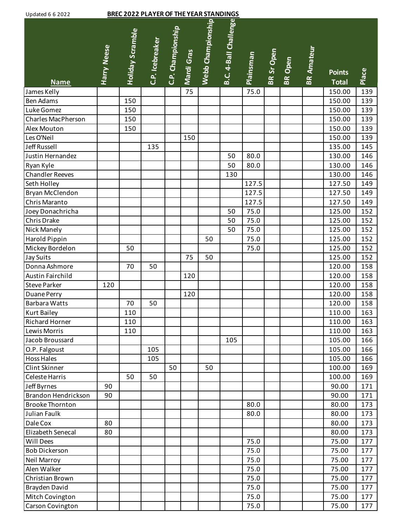| <b>BREC 2022 PLAYER OF THE YEAR STANDINGS</b><br><b>Updated 6 6 2022</b> |                    |                  |                 |                   |            |                   |                       |                  |            |                |                   |                               |       |
|--------------------------------------------------------------------------|--------------------|------------------|-----------------|-------------------|------------|-------------------|-----------------------|------------------|------------|----------------|-------------------|-------------------------------|-------|
| <b>Name</b>                                                              | <b>Harry Neese</b> | Holiday Scramble | C.P. Icebreaker | C.P. Championship | Mardi Gras | Webb Championship | B.C. 4-Ball Challenge | <b>Plainsman</b> | BR Sr Open | <b>BR</b> Open | <b>BR Amateur</b> | <b>Points</b><br><b>Total</b> | Place |
| James Kelly                                                              |                    |                  |                 |                   | 75         |                   |                       | 75.0             |            |                |                   | 150.00                        | 139   |
| <b>Ben Adams</b>                                                         |                    | 150              |                 |                   |            |                   |                       |                  |            |                |                   | 150.00                        | 139   |
| Luke Gomez                                                               |                    | 150              |                 |                   |            |                   |                       |                  |            |                |                   | 150.00                        | 139   |
| Charles MacPherson                                                       |                    | 150              |                 |                   |            |                   |                       |                  |            |                |                   | 150.00                        | 139   |
| Alex Mouton                                                              |                    | 150              |                 |                   |            |                   |                       |                  |            |                |                   | 150.00                        | 139   |
| Les O'Neil                                                               |                    |                  |                 |                   | 150        |                   |                       |                  |            |                |                   | 150.00                        | 139   |
| Jeff Russell                                                             |                    |                  | 135             |                   |            |                   |                       |                  |            |                |                   | 135.00                        | 145   |
| Justin Hernandez                                                         |                    |                  |                 |                   |            |                   | 50                    | 80.0             |            |                |                   | 130.00                        | 146   |
| Ryan Kyle                                                                |                    |                  |                 |                   |            |                   | 50                    | 80.0             |            |                |                   | 130.00                        | 146   |
| <b>Chandler Reeves</b>                                                   |                    |                  |                 |                   |            |                   | 130                   |                  |            |                |                   | 130.00                        | 146   |
| Seth Holley                                                              |                    |                  |                 |                   |            |                   |                       | 127.5            |            |                |                   | 127.50                        | 149   |
| Bryan McClendon                                                          |                    |                  |                 |                   |            |                   |                       | 127.5            |            |                |                   | 127.50                        | 149   |
| Chris Maranto                                                            |                    |                  |                 |                   |            |                   |                       | 127.5            |            |                |                   | 127.50                        | 149   |
| Joey Donachricha                                                         |                    |                  |                 |                   |            |                   | 50                    | 75.0             |            |                |                   | 125.00                        | 152   |
| Chris Drake                                                              |                    |                  |                 |                   |            |                   | 50                    | 75.0             |            |                |                   | 125.00                        | 152   |
| Nick Manely                                                              |                    |                  |                 |                   |            |                   | 50                    | 75.0             |            |                |                   | 125.00                        | 152   |
| Harold Pippin                                                            |                    |                  |                 |                   |            | 50                |                       | 75.0             |            |                |                   | 125.00                        | 152   |
| Mickey Bordelon                                                          |                    | 50               |                 |                   |            |                   |                       | 75.0             |            |                |                   | 125.00                        | 152   |
| <b>Jay Suits</b>                                                         |                    |                  |                 |                   | 75         | 50                |                       |                  |            |                |                   | 125.00                        | 152   |
| Donna Ashmore                                                            |                    | 70               | 50              |                   |            |                   |                       |                  |            |                |                   | 120.00                        | 158   |
| Austin Fairchild                                                         |                    |                  |                 |                   | 120        |                   |                       |                  |            |                |                   | 120.00                        | 158   |
| <b>Steve Parker</b>                                                      | 120                |                  |                 |                   |            |                   |                       |                  |            |                |                   | 120.00                        | 158   |
| Duane Perry                                                              |                    |                  |                 |                   | 120        |                   |                       |                  |            |                |                   | 120.00                        | 158   |
| <b>Barbara Watts</b>                                                     |                    | 70               | 50              |                   |            |                   |                       |                  |            |                |                   | 120.00                        | 158   |
| <b>Kurt Bailey</b>                                                       |                    | 110              |                 |                   |            |                   |                       |                  |            |                |                   | 110.00                        | 163   |
| Richard Horner                                                           |                    | 110              |                 |                   |            |                   |                       |                  |            |                |                   | 110.00                        | 163   |
| Lewis Morris                                                             |                    | 110              |                 |                   |            |                   |                       |                  |            |                |                   | 110.00                        | 163   |
| Jacob Broussard                                                          |                    |                  |                 |                   |            |                   | 105                   |                  |            |                |                   | 105.00                        | 166   |
| O.P. Falgoust                                                            |                    |                  | 105             |                   |            |                   |                       |                  |            |                |                   | 105.00                        | 166   |
| <b>Hoss Hales</b>                                                        |                    |                  | 105             |                   |            |                   |                       |                  |            |                |                   | 105.00                        | 166   |
| Clint Skinner                                                            |                    |                  |                 | 50                |            | 50                |                       |                  |            |                |                   | 100.00                        | 169   |
| Celeste Harris                                                           |                    | 50               | 50              |                   |            |                   |                       |                  |            |                |                   | 100.00                        | 169   |
| Jeff Byrnes                                                              | 90                 |                  |                 |                   |            |                   |                       |                  |            |                |                   | 90.00                         | 171   |
| Brandon Hendrickson                                                      | 90                 |                  |                 |                   |            |                   |                       |                  |            |                |                   | 90.00                         | 171   |
| <b>Brooke Thornton</b>                                                   |                    |                  |                 |                   |            |                   |                       | 80.0             |            |                |                   | 80.00                         | 173   |
| <b>Julian Faulk</b>                                                      |                    |                  |                 |                   |            |                   |                       | 80.0             |            |                |                   | 80.00                         | 173   |
| Dale Cox                                                                 | 80                 |                  |                 |                   |            |                   |                       |                  |            |                |                   | 80.00                         | 173   |
| Elizabeth Senecal                                                        | 80                 |                  |                 |                   |            |                   |                       |                  |            |                |                   | 80.00                         | 173   |
| Will Dees                                                                |                    |                  |                 |                   |            |                   |                       | 75.0             |            |                |                   | 75.00                         | 177   |
| <b>Bob Dickerson</b>                                                     |                    |                  |                 |                   |            |                   |                       | 75.0             |            |                |                   | 75.00                         | 177   |
| Neil Marroy                                                              |                    |                  |                 |                   |            |                   |                       | 75.0             |            |                |                   | 75.00                         | 177   |
| Alen Walker                                                              |                    |                  |                 |                   |            |                   |                       | 75.0             |            |                |                   | 75.00                         | 177   |
| Christian Brown                                                          |                    |                  |                 |                   |            |                   |                       | 75.0             |            |                |                   | 75.00                         | 177   |
| Brayden David                                                            |                    |                  |                 |                   |            |                   |                       | 75.0             |            |                |                   | 75.00                         | 177   |
| Mitch Covington                                                          |                    |                  |                 |                   |            |                   |                       | 75.0             |            |                |                   | 75.00                         | 177   |
| Carson Covington                                                         |                    |                  |                 |                   |            |                   |                       | 75.0             |            |                |                   | 75.00                         | 177   |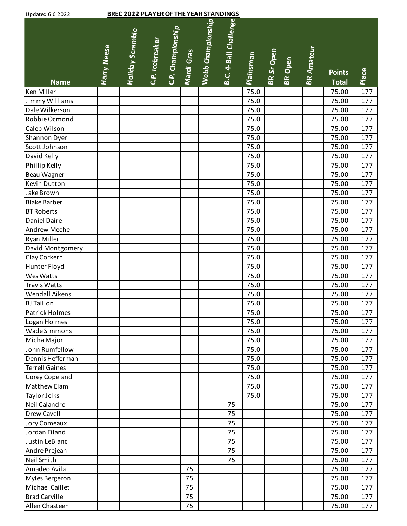| <b>Updated 6 6 2022</b> |                    | <b>BREC 2022 PLAYER OF THE YEAR STANDINGS</b> |                 |                   |            |                   |                       |           |            |                |                   |                               |       |
|-------------------------|--------------------|-----------------------------------------------|-----------------|-------------------|------------|-------------------|-----------------------|-----------|------------|----------------|-------------------|-------------------------------|-------|
| <b>Name</b>             | <b>Harry Neese</b> | <b>Holiday Scramble</b>                       | C.P. Icebreaker | C.P. Championship | Mardi Gras | Webb Championship | B.C. 4-Ball Challenge | Plainsman | BR Sr Open | <b>BR</b> Open | <b>BR Amateur</b> | <b>Points</b><br><b>Total</b> | Place |
| Ken Miller              |                    |                                               |                 |                   |            |                   |                       | 75.0      |            |                |                   | 75.00                         | 177   |
| Jimmy Williams          |                    |                                               |                 |                   |            |                   |                       | 75.0      |            |                |                   | 75.00                         | 177   |
| Dale Wilkerson          |                    |                                               |                 |                   |            |                   |                       | 75.0      |            |                |                   | 75.00                         | 177   |
| Robbie Ocmond           |                    |                                               |                 |                   |            |                   |                       | 75.0      |            |                |                   | 75.00                         | 177   |
| Caleb Wilson            |                    |                                               |                 |                   |            |                   |                       | 75.0      |            |                |                   | 75.00                         | 177   |
| Shannon Dyer            |                    |                                               |                 |                   |            |                   |                       | 75.0      |            |                |                   | 75.00                         | 177   |
| Scott Johnson           |                    |                                               |                 |                   |            |                   |                       | 75.0      |            |                |                   | 75.00                         | 177   |
| David Kelly             |                    |                                               |                 |                   |            |                   |                       | 75.0      |            |                |                   | 75.00                         | 177   |
| Phillip Kelly           |                    |                                               |                 |                   |            |                   |                       | 75.0      |            |                |                   | 75.00                         | 177   |
| Beau Wagner             |                    |                                               |                 |                   |            |                   |                       | 75.0      |            |                |                   | 75.00                         | 177   |
| Kevin Dutton            |                    |                                               |                 |                   |            |                   |                       | 75.0      |            |                |                   | 75.00                         | 177   |
| Jake Brown              |                    |                                               |                 |                   |            |                   |                       | 75.0      |            |                |                   | 75.00                         | 177   |
| <b>Blake Barber</b>     |                    |                                               |                 |                   |            |                   |                       | 75.0      |            |                |                   | 75.00                         | 177   |
| <b>BT Roberts</b>       |                    |                                               |                 |                   |            |                   |                       | 75.0      |            |                |                   | 75.00                         | 177   |
| Daniel Daire            |                    |                                               |                 |                   |            |                   |                       | 75.0      |            |                |                   | 75.00                         | 177   |
| Andrew Meche            |                    |                                               |                 |                   |            |                   |                       | 75.0      |            |                |                   | 75.00                         | 177   |
| Ryan Miller             |                    |                                               |                 |                   |            |                   |                       | 75.0      |            |                |                   | 75.00                         | 177   |
| David Montgomery        |                    |                                               |                 |                   |            |                   |                       | 75.0      |            |                |                   | 75.00                         | 177   |
| Clay Corkern            |                    |                                               |                 |                   |            |                   |                       | 75.0      |            |                |                   | 75.00                         | 177   |
| Hunter Floyd            |                    |                                               |                 |                   |            |                   |                       | 75.0      |            |                |                   | 75.00                         | 177   |
| Wes Watts               |                    |                                               |                 |                   |            |                   |                       | 75.0      |            |                |                   | 75.00                         | 177   |
| <b>Travis Watts</b>     |                    |                                               |                 |                   |            |                   |                       | 75.0      |            |                |                   | 75.00                         | 177   |
| Wendall Aikens          |                    |                                               |                 |                   |            |                   |                       | 75.0      |            |                |                   | 75.00                         | 177   |
| <b>BJ</b> Taillon       |                    |                                               |                 |                   |            |                   |                       | 75.0      |            |                |                   | 75.00                         | 177   |
| Patrick Holmes          |                    |                                               |                 |                   |            |                   |                       | 75.0      |            |                |                   | 75.00                         | 177   |
| Logan Holmes            |                    |                                               |                 |                   |            |                   |                       | 75.0      |            |                |                   | 75.00                         | 177   |
| Wade Simmons            |                    |                                               |                 |                   |            |                   |                       | 75.0      |            |                |                   | 75.00                         | 177   |
| Micha Major             |                    |                                               |                 |                   |            |                   |                       | 75.0      |            |                |                   | 75.00                         | 177   |
| John Rumfellow          |                    |                                               |                 |                   |            |                   |                       | 75.0      |            |                |                   | 75.00                         | 177   |
| Dennis Hefferman        |                    |                                               |                 |                   |            |                   |                       | 75.0      |            |                |                   | 75.00                         | 177   |
| <b>Terrell Gaines</b>   |                    |                                               |                 |                   |            |                   |                       | 75.0      |            |                |                   | 75.00                         | 177   |
| Corey Copeland          |                    |                                               |                 |                   |            |                   |                       | 75.0      |            |                |                   | 75.00                         | 177   |
| Matthew Elam            |                    |                                               |                 |                   |            |                   |                       | 75.0      |            |                |                   | 75.00                         | 177   |
| Taylor Jelks            |                    |                                               |                 |                   |            |                   |                       | 75.0      |            |                |                   | 75.00                         | 177   |
| Neil Calandro           |                    |                                               |                 |                   |            |                   | 75                    |           |            |                |                   | 75.00                         | 177   |
| Drew Cavell             |                    |                                               |                 |                   |            |                   | 75                    |           |            |                |                   | 75.00                         | 177   |
| Jory Comeaux            |                    |                                               |                 |                   |            |                   | 75                    |           |            |                |                   | 75.00                         | 177   |
| Jordan Eiland           |                    |                                               |                 |                   |            |                   | 75                    |           |            |                |                   | 75.00                         | 177   |
| Justin LeBlanc          |                    |                                               |                 |                   |            |                   | 75                    |           |            |                |                   | 75.00                         | 177   |
| Andre Prejean           |                    |                                               |                 |                   |            |                   | 75                    |           |            |                |                   | 75.00                         | 177   |
| Neil Smith              |                    |                                               |                 |                   |            |                   | 75                    |           |            |                |                   | 75.00                         | 177   |
| Amadeo Avila            |                    |                                               |                 |                   | 75         |                   |                       |           |            |                |                   | 75.00                         | 177   |
| Myles Bergeron          |                    |                                               |                 |                   | 75         |                   |                       |           |            |                |                   | 75.00                         | 177   |
| Michael Caillet         |                    |                                               |                 |                   | 75         |                   |                       |           |            |                |                   | 75.00                         | 177   |
| <b>Brad Carville</b>    |                    |                                               |                 |                   | 75         |                   |                       |           |            |                |                   | 75.00                         | 177   |
| Allen Chasteen          |                    |                                               |                 |                   | 75         |                   |                       |           |            |                |                   | 75.00                         | 177   |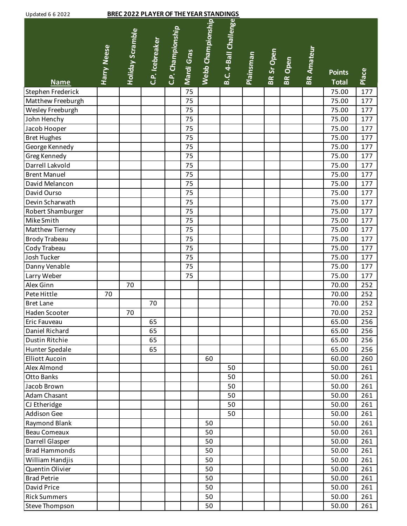| <b>Updated 6 6 2022</b> |  |  |
|-------------------------|--|--|
|                         |  |  |

## **BREC 2022 BLAYER OF THE YEAR STANDINGS**

| opdated b b 2022<br><u>BREC 2022 PLATER OF THE TEAR STANDINGS</u> |             |                         |                 |                   |            |                   |                       |                  |            |         |                   |               |       |
|-------------------------------------------------------------------|-------------|-------------------------|-----------------|-------------------|------------|-------------------|-----------------------|------------------|------------|---------|-------------------|---------------|-------|
|                                                                   | Harry Neese | <b>Holiday Scramble</b> | C.P. Icebreaker | C.P. Championship | Mardi Gras | Webb Championship | B.C. 4-Ball Challenge | <b>Plainsman</b> | BR Sr Open | BR Open | <b>BR Amateur</b> | <b>Points</b> | Place |
| <b>Name</b>                                                       |             |                         |                 |                   |            |                   |                       |                  |            |         |                   | <b>Total</b>  |       |
| Stephen Frederick                                                 |             |                         |                 |                   | 75         |                   |                       |                  |            |         |                   | 75.00         | 177   |
| Matthew Freeburgh                                                 |             |                         |                 |                   | 75         |                   |                       |                  |            |         |                   | 75.00         | 177   |
| Wesley Freeburgh                                                  |             |                         |                 |                   | 75         |                   |                       |                  |            |         |                   | 75.00         | 177   |
| John Henchy                                                       |             |                         |                 |                   | 75         |                   |                       |                  |            |         |                   | 75.00         | 177   |
| Jacob Hooper                                                      |             |                         |                 |                   | 75         |                   |                       |                  |            |         |                   | 75.00         | 177   |
| <b>Bret Hughes</b>                                                |             |                         |                 |                   | 75         |                   |                       |                  |            |         |                   | 75.00         | 177   |
| George Kennedy                                                    |             |                         |                 |                   | 75         |                   |                       |                  |            |         |                   | 75.00         | 177   |
| Greg Kennedy                                                      |             |                         |                 |                   | 75         |                   |                       |                  |            |         |                   | 75.00         | 177   |
| Darrell Lakvold                                                   |             |                         |                 |                   | 75         |                   |                       |                  |            |         |                   | 75.00         | 177   |
| <b>Brent Manuel</b>                                               |             |                         |                 |                   | 75         |                   |                       |                  |            |         |                   | 75.00         | 177   |
| David Melancon                                                    |             |                         |                 |                   | 75         |                   |                       |                  |            |         |                   | 75.00         | 177   |
| David Ourso                                                       |             |                         |                 |                   | 75         |                   |                       |                  |            |         |                   | 75.00         | 177   |
| Devin Scharwath                                                   |             |                         |                 |                   | 75         |                   |                       |                  |            |         |                   | 75.00         | 177   |
| Robert Shamburger                                                 |             |                         |                 |                   | 75         |                   |                       |                  |            |         |                   | 75.00         | 177   |
| Mike Smith                                                        |             |                         |                 |                   | 75         |                   |                       |                  |            |         |                   | 75.00         | 177   |
| Matthew Tierney                                                   |             |                         |                 |                   | 75         |                   |                       |                  |            |         |                   | 75.00         | 177   |
| <b>Brody Trabeau</b>                                              |             |                         |                 |                   | 75         |                   |                       |                  |            |         |                   | 75.00         | 177   |
| Cody Trabeau                                                      |             |                         |                 |                   | 75         |                   |                       |                  |            |         |                   | 75.00         | 177   |
| Josh Tucker                                                       |             |                         |                 |                   | 75         |                   |                       |                  |            |         |                   | 75.00         | 177   |
| Danny Venable                                                     |             |                         |                 |                   | 75         |                   |                       |                  |            |         |                   | 75.00         | 177   |
| Larry Weber                                                       |             |                         |                 |                   | 75         |                   |                       |                  |            |         |                   | 75.00         | 177   |
| Alex Ginn                                                         |             | 70                      |                 |                   |            |                   |                       |                  |            |         |                   | 70.00         | 252   |
| Pete Hittle                                                       | 70          |                         |                 |                   |            |                   |                       |                  |            |         |                   | 70.00         | 252   |
| <b>Bret Lane</b>                                                  |             |                         | 70              |                   |            |                   |                       |                  |            |         |                   | 70.00         | 252   |
| Haden Scooter                                                     |             | 70                      |                 |                   |            |                   |                       |                  |            |         |                   | 70.00         | 252   |
| Eric Fauveau                                                      |             |                         | 65              |                   |            |                   |                       |                  |            |         |                   | 65.00         | 256   |
| Daniel Richard                                                    |             |                         | 65              |                   |            |                   |                       |                  |            |         |                   | 65.00         | 256   |
| Dustin Ritchie                                                    |             |                         | 65              |                   |            |                   |                       |                  |            |         |                   | 65.00         | 256   |
| Hunter Spedale                                                    |             |                         | 65              |                   |            |                   |                       |                  |            |         |                   | 65.00         | 256   |
| <b>Elliott Aucoin</b>                                             |             |                         |                 |                   |            | 60                |                       |                  |            |         |                   | 60.00         | 260   |
| Alex Almond                                                       |             |                         |                 |                   |            |                   | 50                    |                  |            |         |                   | 50.00         | 261   |
| <b>Otto Banks</b>                                                 |             |                         |                 |                   |            |                   | 50                    |                  |            |         |                   | 50.00         | 261   |
| Jacob Brown                                                       |             |                         |                 |                   |            |                   | 50                    |                  |            |         |                   | 50.00         | 261   |
| Adam Chasant                                                      |             |                         |                 |                   |            |                   | 50                    |                  |            |         |                   | 50.00         | 261   |
| CJ Etheridge                                                      |             |                         |                 |                   |            |                   | 50                    |                  |            |         |                   | 50.00         | 261   |
| Addison Gee                                                       |             |                         |                 |                   |            |                   | 50                    |                  |            |         |                   | 50.00         | 261   |
| Raymond Blank                                                     |             |                         |                 |                   |            | 50                |                       |                  |            |         |                   | 50.00         | 261   |
| <b>Beau Comeaux</b>                                               |             |                         |                 |                   |            | 50                |                       |                  |            |         |                   | 50.00         | 261   |
| Darrell Glasper                                                   |             |                         |                 |                   |            | 50                |                       |                  |            |         |                   | 50.00         | 261   |
| <b>Brad Hammonds</b>                                              |             |                         |                 |                   |            | 50                |                       |                  |            |         |                   | 50.00         | 261   |
| William Handjis                                                   |             |                         |                 |                   |            | 50                |                       |                  |            |         |                   | 50.00         | 261   |
| Quentin Olivier                                                   |             |                         |                 |                   |            | 50                |                       |                  |            |         |                   | 50.00         | 261   |
| <b>Brad Petrie</b>                                                |             |                         |                 |                   |            | 50                |                       |                  |            |         |                   | 50.00         | 261   |
| David Price                                                       |             |                         |                 |                   |            | 50                |                       |                  |            |         |                   | 50.00         | 261   |
| <b>Rick Summers</b>                                               |             |                         |                 |                   |            | 50                |                       |                  |            |         |                   | 50.00         | 261   |
| Steve Thompson                                                    |             |                         |                 |                   |            | 50                |                       |                  |            |         |                   | 50.00         | 261   |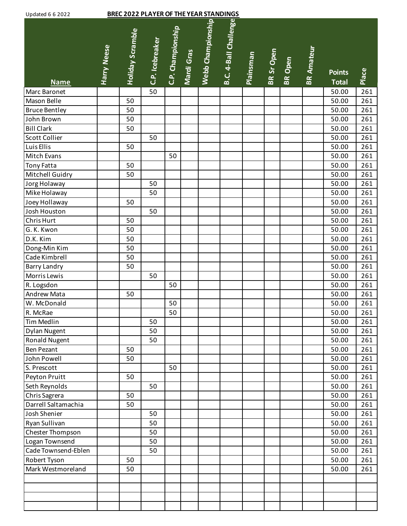| <b>BREC 2022 PLAYER OF THE YEAR STANDINGS</b><br><b>Updated 6 6 2022</b> |                    |                         |                 |                   |            |                   |                       |           |            |                |                   |                               |       |
|--------------------------------------------------------------------------|--------------------|-------------------------|-----------------|-------------------|------------|-------------------|-----------------------|-----------|------------|----------------|-------------------|-------------------------------|-------|
| <b>Name</b>                                                              | <b>Harry Neese</b> | <b>Holiday Scramble</b> | C.P. Icebreaker | C.P. Championship | Mardi Gras | Webb Championship | B.C. 4-Ball Challenge | Plainsman | BR Sr Open | <b>BR</b> Open | <b>BR Amateur</b> | <b>Points</b><br><b>Total</b> | Place |
| Marc Baronet                                                             |                    |                         | 50              |                   |            |                   |                       |           |            |                |                   | 50.00                         | 261   |
| Mason Belle                                                              |                    | 50                      |                 |                   |            |                   |                       |           |            |                |                   | 50.00                         | 261   |
| <b>Bruce Bentley</b>                                                     |                    | 50                      |                 |                   |            |                   |                       |           |            |                |                   | 50.00                         | 261   |
| John Brown                                                               |                    | 50                      |                 |                   |            |                   |                       |           |            |                |                   | 50.00                         | 261   |
| <b>Bill Clark</b>                                                        |                    | 50                      |                 |                   |            |                   |                       |           |            |                |                   | 50.00                         | 261   |
| <b>Scott Collier</b>                                                     |                    |                         | 50              |                   |            |                   |                       |           |            |                |                   | 50.00                         | 261   |
| Luis Ellis                                                               |                    | 50                      |                 |                   |            |                   |                       |           |            |                |                   | 50.00                         | 261   |
| Mitch Evans                                                              |                    |                         |                 | 50                |            |                   |                       |           |            |                |                   | 50.00                         | 261   |
| <b>Tony Fatta</b>                                                        |                    | 50                      |                 |                   |            |                   |                       |           |            |                |                   | 50.00                         | 261   |
| Mitchell Guidry                                                          |                    | 50                      |                 |                   |            |                   |                       |           |            |                |                   | 50.00                         | 261   |
| Jorg Holaway                                                             |                    |                         | 50              |                   |            |                   |                       |           |            |                |                   | 50.00                         | 261   |
| Mike Holaway                                                             |                    |                         | 50              |                   |            |                   |                       |           |            |                |                   | 50.00                         | 261   |
| Joey Hollaway                                                            |                    | 50                      |                 |                   |            |                   |                       |           |            |                |                   | 50.00                         | 261   |
| Josh Houston                                                             |                    |                         | 50              |                   |            |                   |                       |           |            |                |                   | 50.00                         | 261   |
| Chris Hurt                                                               |                    | 50                      |                 |                   |            |                   |                       |           |            |                |                   | 50.00                         | 261   |
| G. K. Kwon                                                               |                    | 50                      |                 |                   |            |                   |                       |           |            |                |                   | 50.00                         | 261   |
| D.K. Kim                                                                 |                    | 50                      |                 |                   |            |                   |                       |           |            |                |                   | 50.00                         | 261   |
| Dong-Min Kim                                                             |                    | 50                      |                 |                   |            |                   |                       |           |            |                |                   | 50.00                         | 261   |
| Cade Kimbrell                                                            |                    | 50                      |                 |                   |            |                   |                       |           |            |                |                   | 50.00                         | 261   |
| <b>Barry Landry</b>                                                      |                    | 50                      |                 |                   |            |                   |                       |           |            |                |                   | 50.00                         | 261   |
| Morris Lewis                                                             |                    |                         | 50              |                   |            |                   |                       |           |            |                |                   | 50.00                         | 261   |
| R. Logsdon                                                               |                    |                         |                 | 50                |            |                   |                       |           |            |                |                   | 50.00                         | 261   |
| Andrew Mata                                                              |                    | 50                      |                 |                   |            |                   |                       |           |            |                |                   | 50.00                         | 261   |
| W. McDonald                                                              |                    |                         |                 | 50                |            |                   |                       |           |            |                |                   | 50.00                         | 261   |
| R. McRae                                                                 |                    |                         |                 | 50                |            |                   |                       |           |            |                |                   | 50.00                         | 261   |
| Tim Medlin                                                               |                    |                         | 50              |                   |            |                   |                       |           |            |                |                   | 50.00                         | 261   |
| <b>Dylan Nugent</b>                                                      |                    |                         | 50              |                   |            |                   |                       |           |            |                |                   | 50.00                         | 261   |
| Ronald Nugent                                                            |                    |                         | 50              |                   |            |                   |                       |           |            |                |                   | 50.00                         | 261   |
| <b>Ben Pezant</b>                                                        |                    | 50                      |                 |                   |            |                   |                       |           |            |                |                   | 50.00                         | 261   |
| John Powell                                                              |                    | 50                      |                 |                   |            |                   |                       |           |            |                |                   | 50.00                         | 261   |
| S. Prescott                                                              |                    |                         |                 | 50                |            |                   |                       |           |            |                |                   | 50.00                         | 261   |
| Peyton Pruitt                                                            |                    | 50                      |                 |                   |            |                   |                       |           |            |                |                   | 50.00                         | 261   |
| Seth Reynolds                                                            |                    |                         | 50              |                   |            |                   |                       |           |            |                |                   | 50.00                         | 261   |
| Chris Sagrera                                                            |                    | 50                      |                 |                   |            |                   |                       |           |            |                |                   | 50.00                         | 261   |
| Darrell Saltamachia                                                      |                    | 50                      |                 |                   |            |                   |                       |           |            |                |                   | 50.00                         | 261   |
| Josh Shenier                                                             |                    |                         | 50              |                   |            |                   |                       |           |            |                |                   | 50.00                         | 261   |
| Ryan Sullivan                                                            |                    |                         | 50              |                   |            |                   |                       |           |            |                |                   | 50.00                         | 261   |
| Chester Thompson                                                         |                    |                         | 50              |                   |            |                   |                       |           |            |                |                   | 50.00                         | 261   |
| Logan Townsend                                                           |                    |                         | 50              |                   |            |                   |                       |           |            |                |                   | 50.00                         | 261   |
| Cade Townsend-Eblen                                                      |                    |                         | 50              |                   |            |                   |                       |           |            |                |                   | 50.00                         | 261   |
| Robert Tyson                                                             |                    | 50                      |                 |                   |            |                   |                       |           |            |                |                   | 50.00                         | 261   |
| Mark Westmoreland                                                        |                    | 50                      |                 |                   |            |                   |                       |           |            |                |                   | 50.00                         | 261   |
|                                                                          |                    |                         |                 |                   |            |                   |                       |           |            |                |                   |                               |       |
|                                                                          |                    |                         |                 |                   |            |                   |                       |           |            |                |                   |                               |       |
|                                                                          |                    |                         |                 |                   |            |                   |                       |           |            |                |                   |                               |       |
|                                                                          |                    |                         |                 |                   |            |                   |                       |           |            |                |                   |                               |       |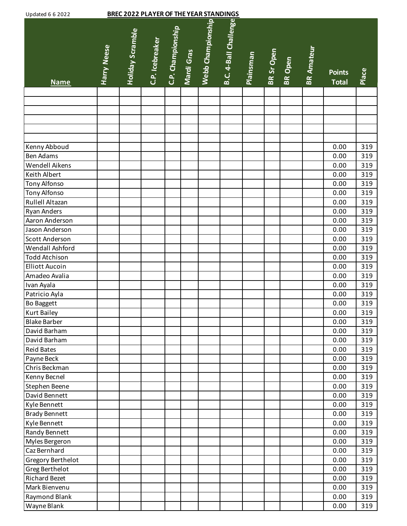| <b>BREC 2022 PLAYER OF THE YEAR STANDINGS</b><br><b>Updated 6 6 2022</b> |                    |                         |                 |                   |            |                   |                       |                  |            |                |                   |                               |       |
|--------------------------------------------------------------------------|--------------------|-------------------------|-----------------|-------------------|------------|-------------------|-----------------------|------------------|------------|----------------|-------------------|-------------------------------|-------|
| <b>Name</b>                                                              | <b>Harry Neese</b> | <b>Holiday Scramble</b> | C.P. Icebreaker | C.P. Championship | Mardi Gras | Webb Championship | B.C. 4-Ball Challenge | <b>Plainsman</b> | BR Sr Open | <b>BR</b> Open | <b>BR Amateur</b> | <b>Points</b><br><b>Total</b> | Place |
|                                                                          |                    |                         |                 |                   |            |                   |                       |                  |            |                |                   |                               |       |
|                                                                          |                    |                         |                 |                   |            |                   |                       |                  |            |                |                   |                               |       |
|                                                                          |                    |                         |                 |                   |            |                   |                       |                  |            |                |                   |                               |       |
|                                                                          |                    |                         |                 |                   |            |                   |                       |                  |            |                |                   |                               |       |
|                                                                          |                    |                         |                 |                   |            |                   |                       |                  |            |                |                   |                               |       |
| Kenny Abboud                                                             |                    |                         |                 |                   |            |                   |                       |                  |            |                |                   | 0.00                          | 319   |
| <b>Ben Adams</b>                                                         |                    |                         |                 |                   |            |                   |                       |                  |            |                |                   | 0.00                          | 319   |
| Wendell Aikens                                                           |                    |                         |                 |                   |            |                   |                       |                  |            |                |                   | 0.00                          | 319   |
| Keith Albert                                                             |                    |                         |                 |                   |            |                   |                       |                  |            |                |                   | 0.00                          | 319   |
| Tony Alfonso                                                             |                    |                         |                 |                   |            |                   |                       |                  |            |                |                   | 0.00                          | 319   |
| <b>Tony Alfonso</b>                                                      |                    |                         |                 |                   |            |                   |                       |                  |            |                |                   | 0.00                          | 319   |
| Rullell Altazan                                                          |                    |                         |                 |                   |            |                   |                       |                  |            |                |                   | 0.00                          | 319   |
| <b>Ryan Anders</b>                                                       |                    |                         |                 |                   |            |                   |                       |                  |            |                |                   | 0.00                          | 319   |
| Aaron Anderson                                                           |                    |                         |                 |                   |            |                   |                       |                  |            |                |                   | 0.00                          | 319   |
| Jason Anderson                                                           |                    |                         |                 |                   |            |                   |                       |                  |            |                |                   | 0.00                          | 319   |
| Scott Anderson                                                           |                    |                         |                 |                   |            |                   |                       |                  |            |                |                   | 0.00                          | 319   |
| Wendall Ashford                                                          |                    |                         |                 |                   |            |                   |                       |                  |            |                |                   | 0.00                          | 319   |
| <b>Todd Atchison</b>                                                     |                    |                         |                 |                   |            |                   |                       |                  |            |                |                   | 0.00                          | 319   |
| <b>Elliott Aucoin</b>                                                    |                    |                         |                 |                   |            |                   |                       |                  |            |                |                   | 0.00                          | 319   |
| Amadeo Avalia                                                            |                    |                         |                 |                   |            |                   |                       |                  |            |                |                   | 0.00                          | 319   |
| Ivan Ayala                                                               |                    |                         |                 |                   |            |                   |                       |                  |            |                |                   | 0.00                          | 319   |
| Patricio Ayla                                                            |                    |                         |                 |                   |            |                   |                       |                  |            |                |                   | 0.00                          | 319   |
| <b>Bo Baggett</b>                                                        |                    |                         |                 |                   |            |                   |                       |                  |            |                |                   | 0.00                          | 319   |
| <b>Kurt Bailey</b>                                                       |                    |                         |                 |                   |            |                   |                       |                  |            |                |                   | 0.00                          | 319   |
| <b>Blake Barber</b>                                                      |                    |                         |                 |                   |            |                   |                       |                  |            |                |                   | 0.00                          | 319   |
| David Barham                                                             |                    |                         |                 |                   |            |                   |                       |                  |            |                |                   | 0.00                          | 319   |
| David Barham                                                             |                    |                         |                 |                   |            |                   |                       |                  |            |                |                   | 0.00                          | 319   |
| <b>Reid Bates</b>                                                        |                    |                         |                 |                   |            |                   |                       |                  |            |                |                   | 0.00                          | 319   |
| Payne Beck                                                               |                    |                         |                 |                   |            |                   |                       |                  |            |                |                   | 0.00                          | 319   |
| Chris Beckman                                                            |                    |                         |                 |                   |            |                   |                       |                  |            |                |                   | 0.00                          | 319   |
| Kenny Becnel                                                             |                    |                         |                 |                   |            |                   |                       |                  |            |                |                   | 0.00                          | 319   |
| Stephen Beene                                                            |                    |                         |                 |                   |            |                   |                       |                  |            |                |                   | 0.00                          | 319   |
| David Bennett                                                            |                    |                         |                 |                   |            |                   |                       |                  |            |                |                   | 0.00                          | 319   |
| Kyle Bennett                                                             |                    |                         |                 |                   |            |                   |                       |                  |            |                |                   | 0.00                          | 319   |
| <b>Brady Bennett</b>                                                     |                    |                         |                 |                   |            |                   |                       |                  |            |                |                   | 0.00                          | 319   |
| Kyle Bennett                                                             |                    |                         |                 |                   |            |                   |                       |                  |            |                |                   | 0.00                          | 319   |
| Randy Bennett                                                            |                    |                         |                 |                   |            |                   |                       |                  |            |                |                   | 0.00                          | 319   |
| Myles Bergeron                                                           |                    |                         |                 |                   |            |                   |                       |                  |            |                |                   | 0.00                          | 319   |
| Caz Bernhard                                                             |                    |                         |                 |                   |            |                   |                       |                  |            |                |                   | 0.00                          | 319   |
| Gregory Berthelot                                                        |                    |                         |                 |                   |            |                   |                       |                  |            |                |                   | 0.00                          | 319   |
| Greg Berthelot                                                           |                    |                         |                 |                   |            |                   |                       |                  |            |                |                   | 0.00                          | 319   |
| <b>Richard Bezet</b>                                                     |                    |                         |                 |                   |            |                   |                       |                  |            |                |                   | 0.00                          | 319   |
| Mark Bienvenu                                                            |                    |                         |                 |                   |            |                   |                       |                  |            |                |                   | 0.00                          | 319   |
| <b>Raymond Blank</b>                                                     |                    |                         |                 |                   |            |                   |                       |                  |            |                |                   | 0.00                          | 319   |
| Wayne Blank                                                              |                    |                         |                 |                   |            |                   |                       |                  |            |                |                   | 0.00                          | 319   |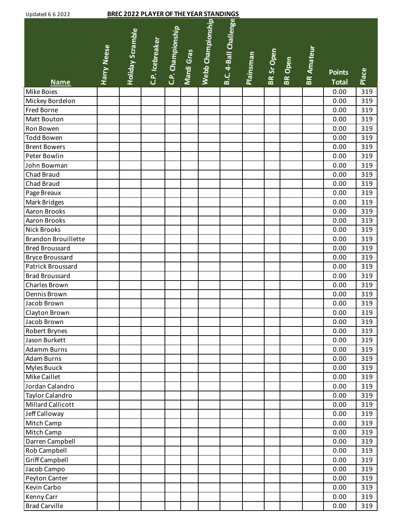| <b>Updated 6 6 2022</b>                     |                    |                         | <b>BREC 2022 PLAYER OF THE YEAR STANDINGS</b> |                   |            |                   |                       |           |            |                |                   |                               |            |
|---------------------------------------------|--------------------|-------------------------|-----------------------------------------------|-------------------|------------|-------------------|-----------------------|-----------|------------|----------------|-------------------|-------------------------------|------------|
| <b>Name</b>                                 | <b>Harry Neese</b> | <b>Holiday Scramble</b> | C.P. Icebreaker                               | C.P. Championship | Mardi Gras | Webb Championship | B.C. 4-Ball Challenge | Plainsman | BR Sr Open | <b>BR</b> Open | <b>BR Amateur</b> | <b>Points</b><br><b>Total</b> | Place      |
| Mike Boies                                  |                    |                         |                                               |                   |            |                   |                       |           |            |                |                   | 0.00                          | 319        |
| Mickey Bordelon                             |                    |                         |                                               |                   |            |                   |                       |           |            |                |                   | 0.00                          | 319        |
| Fred Borne                                  |                    |                         |                                               |                   |            |                   |                       |           |            |                |                   | 0.00                          | 319        |
| Matt Bouton                                 |                    |                         |                                               |                   |            |                   |                       |           |            |                |                   | 0.00                          | 319        |
| Ron Bowen                                   |                    |                         |                                               |                   |            |                   |                       |           |            |                |                   | 0.00                          | 319        |
| <b>Todd Bowen</b>                           |                    |                         |                                               |                   |            |                   |                       |           |            |                |                   | 0.00                          | 319        |
| <b>Brent Bowers</b>                         |                    |                         |                                               |                   |            |                   |                       |           |            |                |                   | 0.00                          | 319        |
| Peter Bowlin                                |                    |                         |                                               |                   |            |                   |                       |           |            |                |                   | 0.00                          | 319        |
| John Bowman                                 |                    |                         |                                               |                   |            |                   |                       |           |            |                |                   | 0.00                          | 319        |
| Chad Braud                                  |                    |                         |                                               |                   |            |                   |                       |           |            |                |                   | 0.00                          | 319        |
| Chad Braud                                  |                    |                         |                                               |                   |            |                   |                       |           |            |                |                   | 0.00                          | 319        |
| Page Breaux                                 |                    |                         |                                               |                   |            |                   |                       |           |            |                |                   | 0.00                          | 319        |
| Mark Bridges                                |                    |                         |                                               |                   |            |                   |                       |           |            |                |                   | 0.00                          | 319        |
| Aaron Brooks                                |                    |                         |                                               |                   |            |                   |                       |           |            |                |                   | 0.00                          | 319        |
| Aaron Brooks                                |                    |                         |                                               |                   |            |                   |                       |           |            |                |                   | 0.00                          | 319        |
| <b>Nick Brooks</b>                          |                    |                         |                                               |                   |            |                   |                       |           |            |                |                   | 0.00                          | 319        |
| Brandon Brouillette                         |                    |                         |                                               |                   |            |                   |                       |           |            |                |                   | 0.00                          | 319        |
| <b>Bred Broussard</b>                       |                    |                         |                                               |                   |            |                   |                       |           |            |                |                   | 0.00                          | 319        |
| <b>Bryce Broussard</b>                      |                    |                         |                                               |                   |            |                   |                       |           |            |                |                   | 0.00                          | 319        |
| Patrick Broussard                           |                    |                         |                                               |                   |            |                   |                       |           |            |                |                   | 0.00                          | 319        |
| <b>Brad Broussard</b>                       |                    |                         |                                               |                   |            |                   |                       |           |            |                |                   | 0.00                          | 319        |
| Charles Brown                               |                    |                         |                                               |                   |            |                   |                       |           |            |                |                   | 0.00                          | 319        |
| Dennis Brown                                |                    |                         |                                               |                   |            |                   |                       |           |            |                |                   | 0.00                          | 319        |
| Jacob Brown                                 |                    |                         |                                               |                   |            |                   |                       |           |            |                |                   | 0.00                          | 319        |
| Clayton Brown                               |                    |                         |                                               |                   |            |                   |                       |           |            |                |                   | 0.00                          | 319        |
| Jacob Brown                                 |                    |                         |                                               |                   |            |                   |                       |           |            |                |                   | 0.00                          | 319        |
| Robert Brynes                               |                    |                         |                                               |                   |            |                   |                       |           |            |                |                   | 0.00                          | 319        |
| Jason Burkett                               |                    |                         |                                               |                   |            |                   |                       |           |            |                |                   | 0.00                          | 319        |
| Adamm Burns                                 |                    |                         |                                               |                   |            |                   |                       |           |            |                |                   | 0.00                          | 319        |
| <b>Adam Burns</b>                           |                    |                         |                                               |                   |            |                   |                       |           |            |                |                   | 0.00                          | 319        |
| Myles Buuck                                 |                    |                         |                                               |                   |            |                   |                       |           |            |                |                   | 0.00                          | 319        |
| Mike Caillet                                |                    |                         |                                               |                   |            |                   |                       |           |            |                |                   | 0.00                          | 319        |
| Jordan Calandro                             |                    |                         |                                               |                   |            |                   |                       |           |            |                |                   | 0.00                          | 319        |
| Taylor Calandro<br><b>Millard Callicott</b> |                    |                         |                                               |                   |            |                   |                       |           |            |                |                   | 0.00                          | 319        |
|                                             |                    |                         |                                               |                   |            |                   |                       |           |            |                |                   | 0.00                          | 319        |
| Jeff Calloway<br>Mitch Camp                 |                    |                         |                                               |                   |            |                   |                       |           |            |                |                   | 0.00                          | 319        |
|                                             |                    |                         |                                               |                   |            |                   |                       |           |            |                |                   | 0.00                          | 319<br>319 |
| Mitch Camp                                  |                    |                         |                                               |                   |            |                   |                       |           |            |                |                   | 0.00                          |            |
| Darren Campbell<br>Rob Campbell             |                    |                         |                                               |                   |            |                   |                       |           |            |                |                   | 0.00<br>0.00                  | 319<br>319 |
| Griff Campbell                              |                    |                         |                                               |                   |            |                   |                       |           |            |                |                   | 0.00                          | 319        |
| Jacob Campo                                 |                    |                         |                                               |                   |            |                   |                       |           |            |                |                   | 0.00                          | 319        |
| Peyton Canter                               |                    |                         |                                               |                   |            |                   |                       |           |            |                |                   | 0.00                          | 319        |
| Kevin Carbo                                 |                    |                         |                                               |                   |            |                   |                       |           |            |                |                   | 0.00                          | 319        |
| Kenny Carr                                  |                    |                         |                                               |                   |            |                   |                       |           |            |                |                   | 0.00                          | 319        |
| <b>Brad Carville</b>                        |                    |                         |                                               |                   |            |                   |                       |           |            |                |                   | 0.00                          | 319        |
|                                             |                    |                         |                                               |                   |            |                   |                       |           |            |                |                   |                               |            |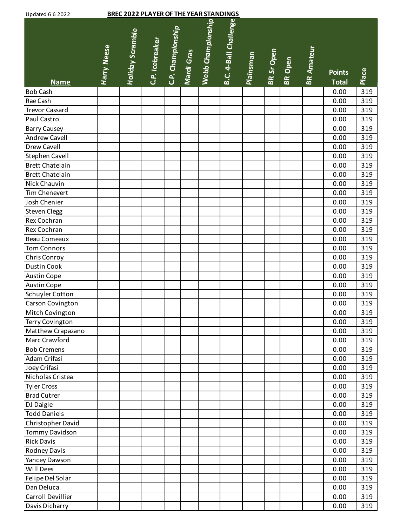| <b>Updated 6 6 2022</b> |                    | <b>BREC 2022 PLAYER OF THE YEAR STANDINGS</b> |                 |                   |            |                   |                       |           |            |                |                   |                               |       |
|-------------------------|--------------------|-----------------------------------------------|-----------------|-------------------|------------|-------------------|-----------------------|-----------|------------|----------------|-------------------|-------------------------------|-------|
| <b>Name</b>             | <b>Harry Neese</b> | <b>Holiday Scramble</b>                       | C.P. Icebreaker | C.P. Championship | Mardi Gras | Webb Championship | B.C. 4-Ball Challenge | Plainsman | BR Sr Open | <b>BR</b> Open | <b>BR Amateur</b> | <b>Points</b><br><b>Total</b> | Place |
| <b>Bob Cash</b>         |                    |                                               |                 |                   |            |                   |                       |           |            |                |                   | 0.00                          | 319   |
| Rae Cash                |                    |                                               |                 |                   |            |                   |                       |           |            |                |                   | 0.00                          | 319   |
| <b>Trevor Cassard</b>   |                    |                                               |                 |                   |            |                   |                       |           |            |                |                   | 0.00                          | 319   |
| Paul Castro             |                    |                                               |                 |                   |            |                   |                       |           |            |                |                   | 0.00                          | 319   |
| <b>Barry Causey</b>     |                    |                                               |                 |                   |            |                   |                       |           |            |                |                   | 0.00                          | 319   |
| Andrew Cavell           |                    |                                               |                 |                   |            |                   |                       |           |            |                |                   | 0.00                          | 319   |
| Drew Cavell             |                    |                                               |                 |                   |            |                   |                       |           |            |                |                   | 0.00                          | 319   |
| Stephen Cavell          |                    |                                               |                 |                   |            |                   |                       |           |            |                |                   | 0.00                          | 319   |
| <b>Brett Chatelain</b>  |                    |                                               |                 |                   |            |                   |                       |           |            |                |                   | 0.00                          | 319   |
| <b>Brett Chatelain</b>  |                    |                                               |                 |                   |            |                   |                       |           |            |                |                   | 0.00                          | 319   |
| Nick Chauvin            |                    |                                               |                 |                   |            |                   |                       |           |            |                |                   | 0.00                          | 319   |
| Tim Chenevert           |                    |                                               |                 |                   |            |                   |                       |           |            |                |                   | 0.00                          | 319   |
| Josh Chenier            |                    |                                               |                 |                   |            |                   |                       |           |            |                |                   | 0.00                          | 319   |
| Steven Clegg            |                    |                                               |                 |                   |            |                   |                       |           |            |                |                   | 0.00                          | 319   |
| Rex Cochran             |                    |                                               |                 |                   |            |                   |                       |           |            |                |                   | 0.00                          | 319   |
| Rex Cochran             |                    |                                               |                 |                   |            |                   |                       |           |            |                |                   | 0.00                          | 319   |
| Beau Comeaux            |                    |                                               |                 |                   |            |                   |                       |           |            |                |                   | 0.00                          | 319   |
| <b>Tom Connors</b>      |                    |                                               |                 |                   |            |                   |                       |           |            |                |                   | 0.00                          | 319   |
| Chris Conroy            |                    |                                               |                 |                   |            |                   |                       |           |            |                |                   | 0.00                          | 319   |
| <b>Dustin Cook</b>      |                    |                                               |                 |                   |            |                   |                       |           |            |                |                   | 0.00                          | 319   |
| Austin Cope             |                    |                                               |                 |                   |            |                   |                       |           |            |                |                   | 0.00                          | 319   |
| <b>Austin Cope</b>      |                    |                                               |                 |                   |            |                   |                       |           |            |                |                   | 0.00                          | 319   |
| Schuyler Cotton         |                    |                                               |                 |                   |            |                   |                       |           |            |                |                   | 0.00                          | 319   |
| Carson Covington        |                    |                                               |                 |                   |            |                   |                       |           |            |                |                   | 0.00                          | 319   |
| Mitch Covington         |                    |                                               |                 |                   |            |                   |                       |           |            |                |                   | 0.00                          | 319   |
| <b>Terry Covington</b>  |                    |                                               |                 |                   |            |                   |                       |           |            |                |                   | 0.00                          | 319   |
| Matthew Crapazano       |                    |                                               |                 |                   |            |                   |                       |           |            |                |                   | 0.00                          | 319   |
| Marc Crawford           |                    |                                               |                 |                   |            |                   |                       |           |            |                |                   | 0.00                          | 319   |
| <b>Bob Cremens</b>      |                    |                                               |                 |                   |            |                   |                       |           |            |                |                   | 0.00                          | 319   |
| Adam Crifasi            |                    |                                               |                 |                   |            |                   |                       |           |            |                |                   | 0.00                          | 319   |
| Joey Crifasi            |                    |                                               |                 |                   |            |                   |                       |           |            |                |                   | 0.00                          | 319   |
| Nicholas Cristea        |                    |                                               |                 |                   |            |                   |                       |           |            |                |                   | 0.00                          | 319   |
| <b>Tyler Cross</b>      |                    |                                               |                 |                   |            |                   |                       |           |            |                |                   | 0.00                          | 319   |
| <b>Brad Cutrer</b>      |                    |                                               |                 |                   |            |                   |                       |           |            |                |                   | 0.00                          | 319   |
| DJ Daigle               |                    |                                               |                 |                   |            |                   |                       |           |            |                |                   | 0.00                          | 319   |
| <b>Todd Daniels</b>     |                    |                                               |                 |                   |            |                   |                       |           |            |                |                   | 0.00                          | 319   |
| Christopher David       |                    |                                               |                 |                   |            |                   |                       |           |            |                |                   | 0.00                          | 319   |
| Tommy Davidson          |                    |                                               |                 |                   |            |                   |                       |           |            |                |                   | 0.00                          | 319   |
| <b>Rick Davis</b>       |                    |                                               |                 |                   |            |                   |                       |           |            |                |                   | 0.00                          | 319   |
| Rodney Davis            |                    |                                               |                 |                   |            |                   |                       |           |            |                |                   | 0.00                          | 319   |
| Yancey Dawson           |                    |                                               |                 |                   |            |                   |                       |           |            |                |                   | 0.00                          | 319   |
| Will Dees               |                    |                                               |                 |                   |            |                   |                       |           |            |                |                   | 0.00                          | 319   |
| Felipe Del Solar        |                    |                                               |                 |                   |            |                   |                       |           |            |                |                   | 0.00                          | 319   |
| Dan Deluca              |                    |                                               |                 |                   |            |                   |                       |           |            |                |                   | 0.00                          | 319   |
| Carroll Devillier       |                    |                                               |                 |                   |            |                   |                       |           |            |                |                   | 0.00                          | 319   |
| Davis Dicharry          |                    |                                               |                 |                   |            |                   |                       |           |            |                |                   | 0.00                          | 319   |
|                         |                    |                                               |                 |                   |            |                   |                       |           |            |                |                   |                               |       |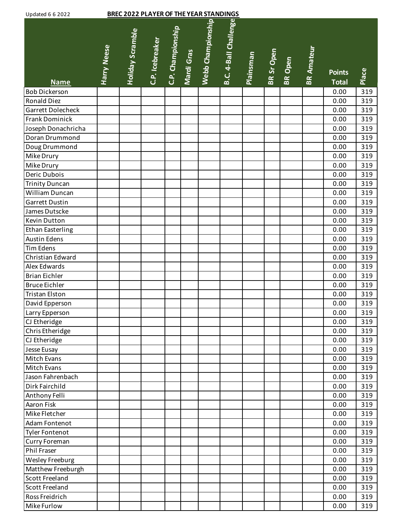| B.C. 4-Ball Challenge<br>Webb Championship<br>C.P. Championship<br><b>Holiday Scramble</b><br>C.P. Icebreaker<br><b>Harry Neese</b><br><b>BR Amateur</b><br>Mardi Gras<br>BR Sr Open<br><b>Plainsman</b><br>BR Open<br>Place<br><b>Points</b><br><b>Total</b><br><b>Name</b><br><b>Bob Dickerson</b><br>0.00<br>319<br>Ronald Diez<br>0.00<br>319<br>Garrett Dolecheck<br>319<br>0.00<br><b>Frank Dominick</b><br>319<br>0.00<br>Joseph Donachricha<br>319<br>0.00<br>Doran Drummond<br>0.00<br>319<br>Doug Drummond<br>319<br>0.00<br>319<br>Mike Drury<br>0.00<br>Mike Drury<br>319<br>0.00<br>Deric Dubois<br>0.00<br>319<br><b>Trinity Duncan</b><br>0.00<br>319<br>William Duncan<br>319<br>0.00<br><b>Garrett Dustin</b><br>319<br>0.00<br>319<br>James Dutscke<br>0.00<br>319<br>Kevin Dutton<br>0.00<br><b>Ethan Easterling</b><br>319<br>0.00<br><b>Austin Edens</b><br>319<br>0.00<br>Tim Edens<br>0.00<br>319<br>Christian Edward<br>0.00<br>319<br>Alex Edwards<br>319<br>0.00<br><b>Brian Eichler</b><br>319<br>0.00<br><b>Bruce Eichler</b><br>319<br>0.00<br><b>Tristan Elston</b><br>0.00<br>319<br>319<br>David Epperson<br>0.00<br>319<br>Larry Epperson<br>0.00<br>CJ Etheridge<br>0.00<br>319<br>Chris Etheridge<br>0.00<br>319<br>CJ Etheridge<br>0.00<br>319<br>Jesse Eusay<br>0.00<br>319<br>Mitch Evans<br>0.00<br>319<br>Mitch Evans<br>0.00<br>319<br>Jason Fahrenbach<br>0.00<br>319<br>Dirk Fairchild<br>0.00<br>319<br>Anthony Felli<br>319<br>0.00<br>Aaron Fisk<br>0.00<br>319<br>Mike Fletcher<br>0.00<br>319<br>Adam Fontenot<br>319<br>0.00<br>319<br><b>Tyler Fontenot</b><br>0.00<br>Curry Foreman<br>0.00<br>319<br>Phil Fraser<br>319<br>0.00<br>Wesley Freeburg<br>0.00<br>319<br>Matthew Freeburgh<br>319<br>0.00<br><b>Scott Freeland</b><br>319<br>0.00<br><b>Scott Freeland</b><br>0.00<br>319<br>Ross Freidrich<br>319<br>0.00<br>Mike Furlow<br>0.00<br>319 | <b>Updated 6 6 2022</b> | <b>BREC 2022 PLAYER OF THE YEAR STANDINGS</b> |  |  |  |  |  |  |
|----------------------------------------------------------------------------------------------------------------------------------------------------------------------------------------------------------------------------------------------------------------------------------------------------------------------------------------------------------------------------------------------------------------------------------------------------------------------------------------------------------------------------------------------------------------------------------------------------------------------------------------------------------------------------------------------------------------------------------------------------------------------------------------------------------------------------------------------------------------------------------------------------------------------------------------------------------------------------------------------------------------------------------------------------------------------------------------------------------------------------------------------------------------------------------------------------------------------------------------------------------------------------------------------------------------------------------------------------------------------------------------------------------------------------------------------------------------------------------------------------------------------------------------------------------------------------------------------------------------------------------------------------------------------------------------------------------------------------------------------------------------------------------------------------------------------------------------------------------------------------------------------------------|-------------------------|-----------------------------------------------|--|--|--|--|--|--|
|                                                                                                                                                                                                                                                                                                                                                                                                                                                                                                                                                                                                                                                                                                                                                                                                                                                                                                                                                                                                                                                                                                                                                                                                                                                                                                                                                                                                                                                                                                                                                                                                                                                                                                                                                                                                                                                                                                          |                         |                                               |  |  |  |  |  |  |
|                                                                                                                                                                                                                                                                                                                                                                                                                                                                                                                                                                                                                                                                                                                                                                                                                                                                                                                                                                                                                                                                                                                                                                                                                                                                                                                                                                                                                                                                                                                                                                                                                                                                                                                                                                                                                                                                                                          |                         |                                               |  |  |  |  |  |  |
|                                                                                                                                                                                                                                                                                                                                                                                                                                                                                                                                                                                                                                                                                                                                                                                                                                                                                                                                                                                                                                                                                                                                                                                                                                                                                                                                                                                                                                                                                                                                                                                                                                                                                                                                                                                                                                                                                                          |                         |                                               |  |  |  |  |  |  |
|                                                                                                                                                                                                                                                                                                                                                                                                                                                                                                                                                                                                                                                                                                                                                                                                                                                                                                                                                                                                                                                                                                                                                                                                                                                                                                                                                                                                                                                                                                                                                                                                                                                                                                                                                                                                                                                                                                          |                         |                                               |  |  |  |  |  |  |
|                                                                                                                                                                                                                                                                                                                                                                                                                                                                                                                                                                                                                                                                                                                                                                                                                                                                                                                                                                                                                                                                                                                                                                                                                                                                                                                                                                                                                                                                                                                                                                                                                                                                                                                                                                                                                                                                                                          |                         |                                               |  |  |  |  |  |  |
|                                                                                                                                                                                                                                                                                                                                                                                                                                                                                                                                                                                                                                                                                                                                                                                                                                                                                                                                                                                                                                                                                                                                                                                                                                                                                                                                                                                                                                                                                                                                                                                                                                                                                                                                                                                                                                                                                                          |                         |                                               |  |  |  |  |  |  |
|                                                                                                                                                                                                                                                                                                                                                                                                                                                                                                                                                                                                                                                                                                                                                                                                                                                                                                                                                                                                                                                                                                                                                                                                                                                                                                                                                                                                                                                                                                                                                                                                                                                                                                                                                                                                                                                                                                          |                         |                                               |  |  |  |  |  |  |
|                                                                                                                                                                                                                                                                                                                                                                                                                                                                                                                                                                                                                                                                                                                                                                                                                                                                                                                                                                                                                                                                                                                                                                                                                                                                                                                                                                                                                                                                                                                                                                                                                                                                                                                                                                                                                                                                                                          |                         |                                               |  |  |  |  |  |  |
|                                                                                                                                                                                                                                                                                                                                                                                                                                                                                                                                                                                                                                                                                                                                                                                                                                                                                                                                                                                                                                                                                                                                                                                                                                                                                                                                                                                                                                                                                                                                                                                                                                                                                                                                                                                                                                                                                                          |                         |                                               |  |  |  |  |  |  |
|                                                                                                                                                                                                                                                                                                                                                                                                                                                                                                                                                                                                                                                                                                                                                                                                                                                                                                                                                                                                                                                                                                                                                                                                                                                                                                                                                                                                                                                                                                                                                                                                                                                                                                                                                                                                                                                                                                          |                         |                                               |  |  |  |  |  |  |
|                                                                                                                                                                                                                                                                                                                                                                                                                                                                                                                                                                                                                                                                                                                                                                                                                                                                                                                                                                                                                                                                                                                                                                                                                                                                                                                                                                                                                                                                                                                                                                                                                                                                                                                                                                                                                                                                                                          |                         |                                               |  |  |  |  |  |  |
|                                                                                                                                                                                                                                                                                                                                                                                                                                                                                                                                                                                                                                                                                                                                                                                                                                                                                                                                                                                                                                                                                                                                                                                                                                                                                                                                                                                                                                                                                                                                                                                                                                                                                                                                                                                                                                                                                                          |                         |                                               |  |  |  |  |  |  |
|                                                                                                                                                                                                                                                                                                                                                                                                                                                                                                                                                                                                                                                                                                                                                                                                                                                                                                                                                                                                                                                                                                                                                                                                                                                                                                                                                                                                                                                                                                                                                                                                                                                                                                                                                                                                                                                                                                          |                         |                                               |  |  |  |  |  |  |
|                                                                                                                                                                                                                                                                                                                                                                                                                                                                                                                                                                                                                                                                                                                                                                                                                                                                                                                                                                                                                                                                                                                                                                                                                                                                                                                                                                                                                                                                                                                                                                                                                                                                                                                                                                                                                                                                                                          |                         |                                               |  |  |  |  |  |  |
|                                                                                                                                                                                                                                                                                                                                                                                                                                                                                                                                                                                                                                                                                                                                                                                                                                                                                                                                                                                                                                                                                                                                                                                                                                                                                                                                                                                                                                                                                                                                                                                                                                                                                                                                                                                                                                                                                                          |                         |                                               |  |  |  |  |  |  |
|                                                                                                                                                                                                                                                                                                                                                                                                                                                                                                                                                                                                                                                                                                                                                                                                                                                                                                                                                                                                                                                                                                                                                                                                                                                                                                                                                                                                                                                                                                                                                                                                                                                                                                                                                                                                                                                                                                          |                         |                                               |  |  |  |  |  |  |
|                                                                                                                                                                                                                                                                                                                                                                                                                                                                                                                                                                                                                                                                                                                                                                                                                                                                                                                                                                                                                                                                                                                                                                                                                                                                                                                                                                                                                                                                                                                                                                                                                                                                                                                                                                                                                                                                                                          |                         |                                               |  |  |  |  |  |  |
|                                                                                                                                                                                                                                                                                                                                                                                                                                                                                                                                                                                                                                                                                                                                                                                                                                                                                                                                                                                                                                                                                                                                                                                                                                                                                                                                                                                                                                                                                                                                                                                                                                                                                                                                                                                                                                                                                                          |                         |                                               |  |  |  |  |  |  |
|                                                                                                                                                                                                                                                                                                                                                                                                                                                                                                                                                                                                                                                                                                                                                                                                                                                                                                                                                                                                                                                                                                                                                                                                                                                                                                                                                                                                                                                                                                                                                                                                                                                                                                                                                                                                                                                                                                          |                         |                                               |  |  |  |  |  |  |
|                                                                                                                                                                                                                                                                                                                                                                                                                                                                                                                                                                                                                                                                                                                                                                                                                                                                                                                                                                                                                                                                                                                                                                                                                                                                                                                                                                                                                                                                                                                                                                                                                                                                                                                                                                                                                                                                                                          |                         |                                               |  |  |  |  |  |  |
|                                                                                                                                                                                                                                                                                                                                                                                                                                                                                                                                                                                                                                                                                                                                                                                                                                                                                                                                                                                                                                                                                                                                                                                                                                                                                                                                                                                                                                                                                                                                                                                                                                                                                                                                                                                                                                                                                                          |                         |                                               |  |  |  |  |  |  |
|                                                                                                                                                                                                                                                                                                                                                                                                                                                                                                                                                                                                                                                                                                                                                                                                                                                                                                                                                                                                                                                                                                                                                                                                                                                                                                                                                                                                                                                                                                                                                                                                                                                                                                                                                                                                                                                                                                          |                         |                                               |  |  |  |  |  |  |
|                                                                                                                                                                                                                                                                                                                                                                                                                                                                                                                                                                                                                                                                                                                                                                                                                                                                                                                                                                                                                                                                                                                                                                                                                                                                                                                                                                                                                                                                                                                                                                                                                                                                                                                                                                                                                                                                                                          |                         |                                               |  |  |  |  |  |  |
|                                                                                                                                                                                                                                                                                                                                                                                                                                                                                                                                                                                                                                                                                                                                                                                                                                                                                                                                                                                                                                                                                                                                                                                                                                                                                                                                                                                                                                                                                                                                                                                                                                                                                                                                                                                                                                                                                                          |                         |                                               |  |  |  |  |  |  |
|                                                                                                                                                                                                                                                                                                                                                                                                                                                                                                                                                                                                                                                                                                                                                                                                                                                                                                                                                                                                                                                                                                                                                                                                                                                                                                                                                                                                                                                                                                                                                                                                                                                                                                                                                                                                                                                                                                          |                         |                                               |  |  |  |  |  |  |
|                                                                                                                                                                                                                                                                                                                                                                                                                                                                                                                                                                                                                                                                                                                                                                                                                                                                                                                                                                                                                                                                                                                                                                                                                                                                                                                                                                                                                                                                                                                                                                                                                                                                                                                                                                                                                                                                                                          |                         |                                               |  |  |  |  |  |  |
|                                                                                                                                                                                                                                                                                                                                                                                                                                                                                                                                                                                                                                                                                                                                                                                                                                                                                                                                                                                                                                                                                                                                                                                                                                                                                                                                                                                                                                                                                                                                                                                                                                                                                                                                                                                                                                                                                                          |                         |                                               |  |  |  |  |  |  |
|                                                                                                                                                                                                                                                                                                                                                                                                                                                                                                                                                                                                                                                                                                                                                                                                                                                                                                                                                                                                                                                                                                                                                                                                                                                                                                                                                                                                                                                                                                                                                                                                                                                                                                                                                                                                                                                                                                          |                         |                                               |  |  |  |  |  |  |
|                                                                                                                                                                                                                                                                                                                                                                                                                                                                                                                                                                                                                                                                                                                                                                                                                                                                                                                                                                                                                                                                                                                                                                                                                                                                                                                                                                                                                                                                                                                                                                                                                                                                                                                                                                                                                                                                                                          |                         |                                               |  |  |  |  |  |  |
|                                                                                                                                                                                                                                                                                                                                                                                                                                                                                                                                                                                                                                                                                                                                                                                                                                                                                                                                                                                                                                                                                                                                                                                                                                                                                                                                                                                                                                                                                                                                                                                                                                                                                                                                                                                                                                                                                                          |                         |                                               |  |  |  |  |  |  |
|                                                                                                                                                                                                                                                                                                                                                                                                                                                                                                                                                                                                                                                                                                                                                                                                                                                                                                                                                                                                                                                                                                                                                                                                                                                                                                                                                                                                                                                                                                                                                                                                                                                                                                                                                                                                                                                                                                          |                         |                                               |  |  |  |  |  |  |
|                                                                                                                                                                                                                                                                                                                                                                                                                                                                                                                                                                                                                                                                                                                                                                                                                                                                                                                                                                                                                                                                                                                                                                                                                                                                                                                                                                                                                                                                                                                                                                                                                                                                                                                                                                                                                                                                                                          |                         |                                               |  |  |  |  |  |  |
|                                                                                                                                                                                                                                                                                                                                                                                                                                                                                                                                                                                                                                                                                                                                                                                                                                                                                                                                                                                                                                                                                                                                                                                                                                                                                                                                                                                                                                                                                                                                                                                                                                                                                                                                                                                                                                                                                                          |                         |                                               |  |  |  |  |  |  |
|                                                                                                                                                                                                                                                                                                                                                                                                                                                                                                                                                                                                                                                                                                                                                                                                                                                                                                                                                                                                                                                                                                                                                                                                                                                                                                                                                                                                                                                                                                                                                                                                                                                                                                                                                                                                                                                                                                          |                         |                                               |  |  |  |  |  |  |
|                                                                                                                                                                                                                                                                                                                                                                                                                                                                                                                                                                                                                                                                                                                                                                                                                                                                                                                                                                                                                                                                                                                                                                                                                                                                                                                                                                                                                                                                                                                                                                                                                                                                                                                                                                                                                                                                                                          |                         |                                               |  |  |  |  |  |  |
|                                                                                                                                                                                                                                                                                                                                                                                                                                                                                                                                                                                                                                                                                                                                                                                                                                                                                                                                                                                                                                                                                                                                                                                                                                                                                                                                                                                                                                                                                                                                                                                                                                                                                                                                                                                                                                                                                                          |                         |                                               |  |  |  |  |  |  |
|                                                                                                                                                                                                                                                                                                                                                                                                                                                                                                                                                                                                                                                                                                                                                                                                                                                                                                                                                                                                                                                                                                                                                                                                                                                                                                                                                                                                                                                                                                                                                                                                                                                                                                                                                                                                                                                                                                          |                         |                                               |  |  |  |  |  |  |
|                                                                                                                                                                                                                                                                                                                                                                                                                                                                                                                                                                                                                                                                                                                                                                                                                                                                                                                                                                                                                                                                                                                                                                                                                                                                                                                                                                                                                                                                                                                                                                                                                                                                                                                                                                                                                                                                                                          |                         |                                               |  |  |  |  |  |  |
|                                                                                                                                                                                                                                                                                                                                                                                                                                                                                                                                                                                                                                                                                                                                                                                                                                                                                                                                                                                                                                                                                                                                                                                                                                                                                                                                                                                                                                                                                                                                                                                                                                                                                                                                                                                                                                                                                                          |                         |                                               |  |  |  |  |  |  |
|                                                                                                                                                                                                                                                                                                                                                                                                                                                                                                                                                                                                                                                                                                                                                                                                                                                                                                                                                                                                                                                                                                                                                                                                                                                                                                                                                                                                                                                                                                                                                                                                                                                                                                                                                                                                                                                                                                          |                         |                                               |  |  |  |  |  |  |
|                                                                                                                                                                                                                                                                                                                                                                                                                                                                                                                                                                                                                                                                                                                                                                                                                                                                                                                                                                                                                                                                                                                                                                                                                                                                                                                                                                                                                                                                                                                                                                                                                                                                                                                                                                                                                                                                                                          |                         |                                               |  |  |  |  |  |  |
|                                                                                                                                                                                                                                                                                                                                                                                                                                                                                                                                                                                                                                                                                                                                                                                                                                                                                                                                                                                                                                                                                                                                                                                                                                                                                                                                                                                                                                                                                                                                                                                                                                                                                                                                                                                                                                                                                                          |                         |                                               |  |  |  |  |  |  |
|                                                                                                                                                                                                                                                                                                                                                                                                                                                                                                                                                                                                                                                                                                                                                                                                                                                                                                                                                                                                                                                                                                                                                                                                                                                                                                                                                                                                                                                                                                                                                                                                                                                                                                                                                                                                                                                                                                          |                         |                                               |  |  |  |  |  |  |
|                                                                                                                                                                                                                                                                                                                                                                                                                                                                                                                                                                                                                                                                                                                                                                                                                                                                                                                                                                                                                                                                                                                                                                                                                                                                                                                                                                                                                                                                                                                                                                                                                                                                                                                                                                                                                                                                                                          |                         |                                               |  |  |  |  |  |  |
|                                                                                                                                                                                                                                                                                                                                                                                                                                                                                                                                                                                                                                                                                                                                                                                                                                                                                                                                                                                                                                                                                                                                                                                                                                                                                                                                                                                                                                                                                                                                                                                                                                                                                                                                                                                                                                                                                                          |                         |                                               |  |  |  |  |  |  |
|                                                                                                                                                                                                                                                                                                                                                                                                                                                                                                                                                                                                                                                                                                                                                                                                                                                                                                                                                                                                                                                                                                                                                                                                                                                                                                                                                                                                                                                                                                                                                                                                                                                                                                                                                                                                                                                                                                          |                         |                                               |  |  |  |  |  |  |
|                                                                                                                                                                                                                                                                                                                                                                                                                                                                                                                                                                                                                                                                                                                                                                                                                                                                                                                                                                                                                                                                                                                                                                                                                                                                                                                                                                                                                                                                                                                                                                                                                                                                                                                                                                                                                                                                                                          |                         |                                               |  |  |  |  |  |  |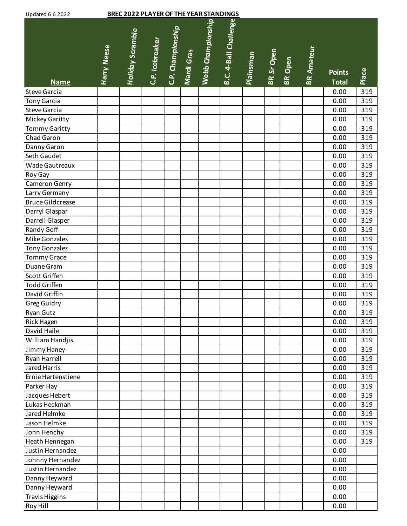| <b>Updated 6 6 2022</b> |                    |                         | <b>BREC 2022 PLAYER OF THE YEAR STANDINGS</b> |                   |            |                   |                       |           |            |         |                   |                               |       |
|-------------------------|--------------------|-------------------------|-----------------------------------------------|-------------------|------------|-------------------|-----------------------|-----------|------------|---------|-------------------|-------------------------------|-------|
| <b>Name</b>             | <b>Harry Neese</b> | <b>Holiday Scramble</b> | C.P. Icebreaker                               | C.P. Championship | Mardi Gras | Webb Championship | B.C. 4-Ball Challenge | Plainsman | BR Sr Open | BR Open | <b>BR Amateur</b> | <b>Points</b><br><b>Total</b> | Place |
| Steve Garcia            |                    |                         |                                               |                   |            |                   |                       |           |            |         |                   | 0.00                          | 319   |
| <b>Tony Garcia</b>      |                    |                         |                                               |                   |            |                   |                       |           |            |         |                   | 0.00                          | 319   |
| Steve Garcia            |                    |                         |                                               |                   |            |                   |                       |           |            |         |                   | 0.00                          | 319   |
| Mickey Garitty          |                    |                         |                                               |                   |            |                   |                       |           |            |         |                   | 0.00                          | 319   |
| <b>Tommy Garitty</b>    |                    |                         |                                               |                   |            |                   |                       |           |            |         |                   | 0.00                          | 319   |
| Chad Garon              |                    |                         |                                               |                   |            |                   |                       |           |            |         |                   | 0.00                          | 319   |
| Danny Garon             |                    |                         |                                               |                   |            |                   |                       |           |            |         |                   | 0.00                          | 319   |
| Seth Gaudet             |                    |                         |                                               |                   |            |                   |                       |           |            |         |                   | 0.00                          | 319   |
| Wade Gautreaux          |                    |                         |                                               |                   |            |                   |                       |           |            |         |                   | 0.00                          | 319   |
| Roy Gay                 |                    |                         |                                               |                   |            |                   |                       |           |            |         |                   | 0.00                          | 319   |
| Cameron Genry           |                    |                         |                                               |                   |            |                   |                       |           |            |         |                   | 0.00                          | 319   |
| Larry Germany           |                    |                         |                                               |                   |            |                   |                       |           |            |         |                   | 0.00                          | 319   |
| <b>Bruce Gildcrease</b> |                    |                         |                                               |                   |            |                   |                       |           |            |         |                   | 0.00                          | 319   |
| Darryl Glaspar          |                    |                         |                                               |                   |            |                   |                       |           |            |         |                   | 0.00                          | 319   |
| Darrell Glasper         |                    |                         |                                               |                   |            |                   |                       |           |            |         |                   | 0.00                          | 319   |
| Randy Goff              |                    |                         |                                               |                   |            |                   |                       |           |            |         |                   | 0.00                          | 319   |
| Mike Gonzales           |                    |                         |                                               |                   |            |                   |                       |           |            |         |                   | 0.00                          | 319   |
| <b>Tony Gonzalez</b>    |                    |                         |                                               |                   |            |                   |                       |           |            |         |                   | 0.00                          | 319   |
| <b>Tommy Grace</b>      |                    |                         |                                               |                   |            |                   |                       |           |            |         |                   | 0.00                          | 319   |
| Duane Gram              |                    |                         |                                               |                   |            |                   |                       |           |            |         |                   | 0.00                          | 319   |
| Scott Griffen           |                    |                         |                                               |                   |            |                   |                       |           |            |         |                   | 0.00                          | 319   |
| <b>Todd Griffen</b>     |                    |                         |                                               |                   |            |                   |                       |           |            |         |                   | 0.00                          | 319   |
| David Griffin           |                    |                         |                                               |                   |            |                   |                       |           |            |         |                   | 0.00                          | 319   |
| <b>Greg Guidry</b>      |                    |                         |                                               |                   |            |                   |                       |           |            |         |                   | 0.00                          | 319   |
| <b>Ryan Gutz</b>        |                    |                         |                                               |                   |            |                   |                       |           |            |         |                   | 0.00                          | 319   |
| <b>Rick Hagen</b>       |                    |                         |                                               |                   |            |                   |                       |           |            |         |                   | 0.00                          | 319   |
| David Haile             |                    |                         |                                               |                   |            |                   |                       |           |            |         |                   | 0.00                          | 319   |
| William Handjis         |                    |                         |                                               |                   |            |                   |                       |           |            |         |                   | 0.00                          | 319   |
| Jimmy Haney             |                    |                         |                                               |                   |            |                   |                       |           |            |         |                   | 0.00                          | 319   |
| Ryan Harrell            |                    |                         |                                               |                   |            |                   |                       |           |            |         |                   | 0.00                          | 319   |
| Jared Harris            |                    |                         |                                               |                   |            |                   |                       |           |            |         |                   | 0.00                          | 319   |
| Ernie Hartenstiene      |                    |                         |                                               |                   |            |                   |                       |           |            |         |                   | 0.00                          | 319   |
| Parker Hay              |                    |                         |                                               |                   |            |                   |                       |           |            |         |                   | 0.00                          | 319   |
| Jacques Hebert          |                    |                         |                                               |                   |            |                   |                       |           |            |         |                   | 0.00                          | 319   |
| Lukas Heckman           |                    |                         |                                               |                   |            |                   |                       |           |            |         |                   | 0.00                          | 319   |
| Jared Helmke            |                    |                         |                                               |                   |            |                   |                       |           |            |         |                   | 0.00                          | 319   |
| Jason Helmke            |                    |                         |                                               |                   |            |                   |                       |           |            |         |                   | 0.00                          | 319   |
| John Henchy             |                    |                         |                                               |                   |            |                   |                       |           |            |         |                   | 0.00                          | 319   |
| Heath Hennegan          |                    |                         |                                               |                   |            |                   |                       |           |            |         |                   | 0.00                          | 319   |
| Justin Hernandez        |                    |                         |                                               |                   |            |                   |                       |           |            |         |                   | 0.00                          |       |
| Johnny Hernandez        |                    |                         |                                               |                   |            |                   |                       |           |            |         |                   | 0.00                          |       |
| Justin Hernandez        |                    |                         |                                               |                   |            |                   |                       |           |            |         |                   | 0.00                          |       |
| Danny Heyward           |                    |                         |                                               |                   |            |                   |                       |           |            |         |                   | 0.00                          |       |
| Danny Heyward           |                    |                         |                                               |                   |            |                   |                       |           |            |         |                   | 0.00                          |       |
| <b>Travis Higgins</b>   |                    |                         |                                               |                   |            |                   |                       |           |            |         |                   | 0.00                          |       |
| Roy Hill                |                    |                         |                                               |                   |            |                   |                       |           |            |         |                   | 0.00                          |       |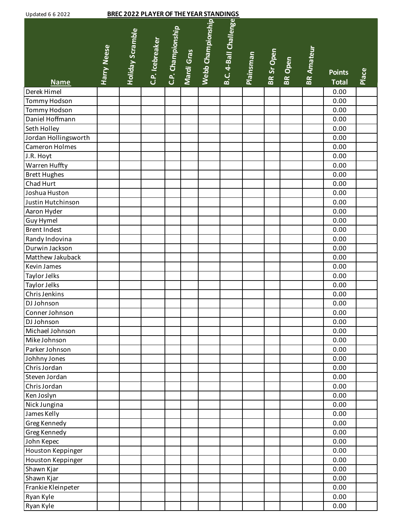| <b>BREC 2022 PLAYER OF THE YEAR STANDINGS</b><br><b>Updated 6 6 2022</b> |                    |                         |                 |                   |            |                   |                       |                  |            |                |                   |               |       |
|--------------------------------------------------------------------------|--------------------|-------------------------|-----------------|-------------------|------------|-------------------|-----------------------|------------------|------------|----------------|-------------------|---------------|-------|
|                                                                          | <b>Harry Neese</b> | <b>Holiday Scramble</b> | C.P. Icebreaker | C.P. Championship | Mardi Gras | Webb Championship | B.C. 4-Ball Challenge | <b>Plainsman</b> | BR Sr Open | <b>BR</b> Open | <b>BR Amateur</b> | <b>Points</b> | Place |
| <b>Name</b>                                                              |                    |                         |                 |                   |            |                   |                       |                  |            |                |                   | <b>Total</b>  |       |
| Derek Himel                                                              |                    |                         |                 |                   |            |                   |                       |                  |            |                |                   | 0.00          |       |
| Tommy Hodson                                                             |                    |                         |                 |                   |            |                   |                       |                  |            |                |                   | 0.00          |       |
| Tommy Hodson                                                             |                    |                         |                 |                   |            |                   |                       |                  |            |                |                   | 0.00          |       |
| Daniel Hoffmann                                                          |                    |                         |                 |                   |            |                   |                       |                  |            |                |                   | 0.00          |       |
| Seth Holley                                                              |                    |                         |                 |                   |            |                   |                       |                  |            |                |                   | 0.00          |       |
| Jordan Hollingsworth                                                     |                    |                         |                 |                   |            |                   |                       |                  |            |                |                   | 0.00          |       |
| <b>Cameron Holmes</b>                                                    |                    |                         |                 |                   |            |                   |                       |                  |            |                |                   | 0.00          |       |
| J.R. Hoyt                                                                |                    |                         |                 |                   |            |                   |                       |                  |            |                |                   | 0.00          |       |
| Warren Huffty                                                            |                    |                         |                 |                   |            |                   |                       |                  |            |                |                   | 0.00          |       |
| <b>Brett Hughes</b>                                                      |                    |                         |                 |                   |            |                   |                       |                  |            |                |                   | 0.00          |       |
| Chad Hurt<br>Joshua Huston                                               |                    |                         |                 |                   |            |                   |                       |                  |            |                |                   | 0.00          |       |
|                                                                          |                    |                         |                 |                   |            |                   |                       |                  |            |                |                   | 0.00          |       |
| Justin Hutchinson                                                        |                    |                         |                 |                   |            |                   |                       |                  |            |                |                   | 0.00          |       |
| Aaron Hyder                                                              |                    |                         |                 |                   |            |                   |                       |                  |            |                |                   | 0.00<br>0.00  |       |
| Guy Hymel<br><b>Brent Indest</b>                                         |                    |                         |                 |                   |            |                   |                       |                  |            |                |                   |               |       |
|                                                                          |                    |                         |                 |                   |            |                   |                       |                  |            |                |                   | 0.00<br>0.00  |       |
| Randy Indovina<br>Durwin Jackson                                         |                    |                         |                 |                   |            |                   |                       |                  |            |                |                   | 0.00          |       |
| Matthew Jakuback                                                         |                    |                         |                 |                   |            |                   |                       |                  |            |                |                   | 0.00          |       |
| Kevin James                                                              |                    |                         |                 |                   |            |                   |                       |                  |            |                |                   | 0.00          |       |
|                                                                          |                    |                         |                 |                   |            |                   |                       |                  |            |                |                   | 0.00          |       |
| Taylor Jelks<br><b>Taylor Jelks</b>                                      |                    |                         |                 |                   |            |                   |                       |                  |            |                |                   | 0.00          |       |
| Chris Jenkins                                                            |                    |                         |                 |                   |            |                   |                       |                  |            |                |                   | 0.00          |       |
| DJ Johnson                                                               |                    |                         |                 |                   |            |                   |                       |                  |            |                |                   | 0.00          |       |
| Conner Johnson                                                           |                    |                         |                 |                   |            |                   |                       |                  |            |                |                   | 0.00          |       |
| DJ Johnson                                                               |                    |                         |                 |                   |            |                   |                       |                  |            |                |                   | 0.00          |       |
| Michael Johnson                                                          |                    |                         |                 |                   |            |                   |                       |                  |            |                |                   | 0.00          |       |
| Mike Johnson                                                             |                    |                         |                 |                   |            |                   |                       |                  |            |                |                   | 0.00          |       |
| Parker Johnson                                                           |                    |                         |                 |                   |            |                   |                       |                  |            |                |                   | 0.00          |       |
| Johhny Jones                                                             |                    |                         |                 |                   |            |                   |                       |                  |            |                |                   | 0.00          |       |
| Chris Jordan                                                             |                    |                         |                 |                   |            |                   |                       |                  |            |                |                   | 0.00          |       |
| Steven Jordan                                                            |                    |                         |                 |                   |            |                   |                       |                  |            |                |                   | 0.00          |       |
| Chris Jordan                                                             |                    |                         |                 |                   |            |                   |                       |                  |            |                |                   | 0.00          |       |
| Ken Joslyn                                                               |                    |                         |                 |                   |            |                   |                       |                  |            |                |                   | 0.00          |       |
| Nick Jungina                                                             |                    |                         |                 |                   |            |                   |                       |                  |            |                |                   | 0.00          |       |
| James Kelly                                                              |                    |                         |                 |                   |            |                   |                       |                  |            |                |                   | 0.00          |       |
| Greg Kennedy                                                             |                    |                         |                 |                   |            |                   |                       |                  |            |                |                   | 0.00          |       |
| Greg Kennedy                                                             |                    |                         |                 |                   |            |                   |                       |                  |            |                |                   | 0.00          |       |
| John Kepec                                                               |                    |                         |                 |                   |            |                   |                       |                  |            |                |                   | 0.00          |       |
| Houston Keppinger                                                        |                    |                         |                 |                   |            |                   |                       |                  |            |                |                   | 0.00          |       |
| Houston Keppinger                                                        |                    |                         |                 |                   |            |                   |                       |                  |            |                |                   | 0.00          |       |
| Shawn Kjar                                                               |                    |                         |                 |                   |            |                   |                       |                  |            |                |                   | 0.00          |       |
| Shawn Kjar                                                               |                    |                         |                 |                   |            |                   |                       |                  |            |                |                   | 0.00          |       |
| Frankie Kleinpeter                                                       |                    |                         |                 |                   |            |                   |                       |                  |            |                |                   | 0.00          |       |
| Ryan Kyle                                                                |                    |                         |                 |                   |            |                   |                       |                  |            |                |                   | 0.00          |       |
| Ryan Kyle                                                                |                    |                         |                 |                   |            |                   |                       |                  |            |                |                   | 0.00          |       |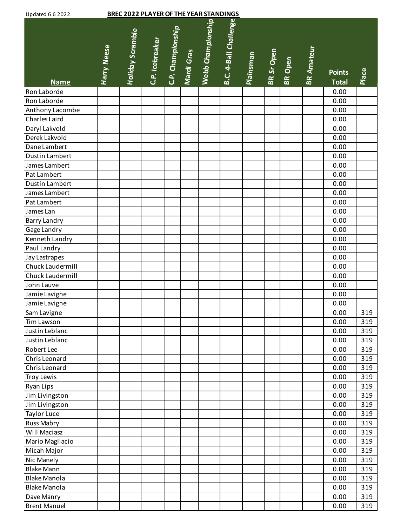| <b>Updated 6 6 2022</b> |                    |                         | <b>BREC 2022 PLAYER OF THE YEAR STANDINGS</b> |                   |            |                   |                       |           |            |         |                   |                               |       |
|-------------------------|--------------------|-------------------------|-----------------------------------------------|-------------------|------------|-------------------|-----------------------|-----------|------------|---------|-------------------|-------------------------------|-------|
| <b>Name</b>             | <b>Harry Neese</b> | <b>Holiday Scramble</b> | C.P. Icebreaker                               | C.P. Championship | Mardi Gras | Webb Championship | B.C. 4-Ball Challenge | Plainsman | BR Sr Open | BR Open | <b>BR Amateur</b> | <b>Points</b><br><b>Total</b> | Place |
| Ron Laborde             |                    |                         |                                               |                   |            |                   |                       |           |            |         |                   | 0.00                          |       |
| Ron Laborde             |                    |                         |                                               |                   |            |                   |                       |           |            |         |                   | 0.00                          |       |
| Anthony Lacombe         |                    |                         |                                               |                   |            |                   |                       |           |            |         |                   | 0.00                          |       |
| Charles Laird           |                    |                         |                                               |                   |            |                   |                       |           |            |         |                   | 0.00                          |       |
| Daryl Lakvold           |                    |                         |                                               |                   |            |                   |                       |           |            |         |                   | 0.00                          |       |
| Derek Lakvold           |                    |                         |                                               |                   |            |                   |                       |           |            |         |                   | 0.00                          |       |
| Dane Lambert            |                    |                         |                                               |                   |            |                   |                       |           |            |         |                   | 0.00                          |       |
| Dustin Lambert          |                    |                         |                                               |                   |            |                   |                       |           |            |         |                   | 0.00                          |       |
| James Lambert           |                    |                         |                                               |                   |            |                   |                       |           |            |         |                   | 0.00                          |       |
| Pat Lambert             |                    |                         |                                               |                   |            |                   |                       |           |            |         |                   | 0.00                          |       |
| <b>Dustin Lambert</b>   |                    |                         |                                               |                   |            |                   |                       |           |            |         |                   | 0.00                          |       |
| James Lambert           |                    |                         |                                               |                   |            |                   |                       |           |            |         |                   | 0.00                          |       |
| Pat Lambert             |                    |                         |                                               |                   |            |                   |                       |           |            |         |                   | 0.00                          |       |
| James Lan               |                    |                         |                                               |                   |            |                   |                       |           |            |         |                   | 0.00                          |       |
| Barry Landry            |                    |                         |                                               |                   |            |                   |                       |           |            |         |                   | 0.00                          |       |
| Gage Landry             |                    |                         |                                               |                   |            |                   |                       |           |            |         |                   | 0.00                          |       |
| Kenneth Landry          |                    |                         |                                               |                   |            |                   |                       |           |            |         |                   | 0.00                          |       |
| Paul Landry             |                    |                         |                                               |                   |            |                   |                       |           |            |         |                   | 0.00                          |       |
| Jay Lastrapes           |                    |                         |                                               |                   |            |                   |                       |           |            |         |                   | 0.00                          |       |
| Chuck Laudermill        |                    |                         |                                               |                   |            |                   |                       |           |            |         |                   | 0.00                          |       |
| Chuck Laudermill        |                    |                         |                                               |                   |            |                   |                       |           |            |         |                   | 0.00                          |       |
| John Lauve              |                    |                         |                                               |                   |            |                   |                       |           |            |         |                   | 0.00                          |       |
| Jamie Lavigne           |                    |                         |                                               |                   |            |                   |                       |           |            |         |                   | 0.00                          |       |
| Jamie Lavigne           |                    |                         |                                               |                   |            |                   |                       |           |            |         |                   | 0.00                          |       |
| Sam Lavigne             |                    |                         |                                               |                   |            |                   |                       |           |            |         |                   | 0.00                          | 319   |
| Tim Lawson              |                    |                         |                                               |                   |            |                   |                       |           |            |         |                   | 0.00                          | 319   |
| Justin Leblanc          |                    |                         |                                               |                   |            |                   |                       |           |            |         |                   | 0.00                          | 319   |
| Justin Leblanc          |                    |                         |                                               |                   |            |                   |                       |           |            |         |                   | 0.00                          | 319   |
| Robert Lee              |                    |                         |                                               |                   |            |                   |                       |           |            |         |                   | 0.00                          | 319   |
| Chris Leonard           |                    |                         |                                               |                   |            |                   |                       |           |            |         |                   | 0.00                          | 319   |
| Chris Leonard           |                    |                         |                                               |                   |            |                   |                       |           |            |         |                   | 0.00                          | 319   |
| <b>Troy Lewis</b>       |                    |                         |                                               |                   |            |                   |                       |           |            |         |                   | 0.00                          | 319   |
| Ryan Lips               |                    |                         |                                               |                   |            |                   |                       |           |            |         |                   | 0.00                          | 319   |
| Jim Livingston          |                    |                         |                                               |                   |            |                   |                       |           |            |         |                   | 0.00                          | 319   |
| Jim Livingston          |                    |                         |                                               |                   |            |                   |                       |           |            |         |                   | 0.00                          | 319   |
| <b>Taylor Luce</b>      |                    |                         |                                               |                   |            |                   |                       |           |            |         |                   | 0.00                          | 319   |
| Russ Mabry              |                    |                         |                                               |                   |            |                   |                       |           |            |         |                   | 0.00                          | 319   |
| Will Maciasz            |                    |                         |                                               |                   |            |                   |                       |           |            |         |                   | 0.00                          | 319   |
| Mario Magliacio         |                    |                         |                                               |                   |            |                   |                       |           |            |         |                   | 0.00                          | 319   |
| Micah Major             |                    |                         |                                               |                   |            |                   |                       |           |            |         |                   | 0.00                          | 319   |
| Nic Manely              |                    |                         |                                               |                   |            |                   |                       |           |            |         |                   | 0.00                          | 319   |
| <b>Blake Mann</b>       |                    |                         |                                               |                   |            |                   |                       |           |            |         |                   | 0.00                          | 319   |
| <b>Blake Manola</b>     |                    |                         |                                               |                   |            |                   |                       |           |            |         |                   | 0.00                          | 319   |
| <b>Blake Manola</b>     |                    |                         |                                               |                   |            |                   |                       |           |            |         |                   | 0.00                          | 319   |
| Dave Manry              |                    |                         |                                               |                   |            |                   |                       |           |            |         |                   | 0.00                          | 319   |
| <b>Brent Manuel</b>     |                    |                         |                                               |                   |            |                   |                       |           |            |         |                   | 0.00                          | 319   |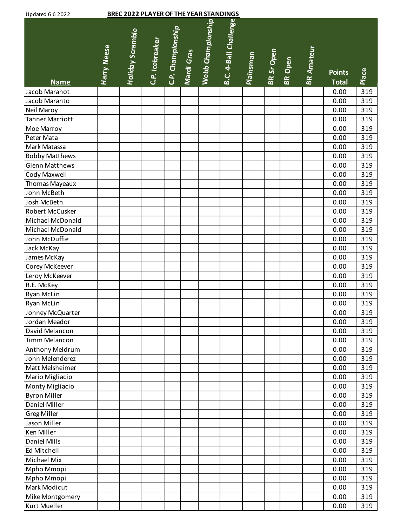| <b>BREC 2022 PLAYER OF THE YEAR STANDINGS</b><br><b>Updated 6 6 2022</b> |             |                         |                 |                   |            |                   |                       |                  |                   |         |                   |                               |       |
|--------------------------------------------------------------------------|-------------|-------------------------|-----------------|-------------------|------------|-------------------|-----------------------|------------------|-------------------|---------|-------------------|-------------------------------|-------|
| <b>Name</b>                                                              | Harry Neese | <b>Holiday Scramble</b> | C.P. Icebreaker | C.P. Championship | Mardi Gras | Webb Championship | B.C. 4-Ball Challenge | <b>Plainsman</b> | <b>BR Sr Open</b> | BR Open | <b>BR Amateur</b> | <b>Points</b><br><b>Total</b> | Place |
| Jacob Maranot                                                            |             |                         |                 |                   |            |                   |                       |                  |                   |         |                   | 0.00                          | 319   |
| Jacob Maranto                                                            |             |                         |                 |                   |            |                   |                       |                  |                   |         |                   | 0.00                          | 319   |
| Neil Maroy                                                               |             |                         |                 |                   |            |                   |                       |                  |                   |         |                   | 0.00                          | 319   |
| <b>Tanner Marriott</b>                                                   |             |                         |                 |                   |            |                   |                       |                  |                   |         |                   | 0.00                          | 319   |
| Moe Marroy                                                               |             |                         |                 |                   |            |                   |                       |                  |                   |         |                   | 0.00                          | 319   |
| Peter Mata                                                               |             |                         |                 |                   |            |                   |                       |                  |                   |         |                   | 0.00                          | 319   |
| Mark Matassa                                                             |             |                         |                 |                   |            |                   |                       |                  |                   |         |                   | 0.00                          | 319   |
| <b>Bobby Matthews</b>                                                    |             |                         |                 |                   |            |                   |                       |                  |                   |         |                   | 0.00                          | 319   |
| <b>Glenn Matthews</b>                                                    |             |                         |                 |                   |            |                   |                       |                  |                   |         |                   | 0.00                          | 319   |
| Cody Maxwell                                                             |             |                         |                 |                   |            |                   |                       |                  |                   |         |                   | 0.00                          | 319   |
| Thomas Mayeaux                                                           |             |                         |                 |                   |            |                   |                       |                  |                   |         |                   | 0.00                          | 319   |
| John McBeth                                                              |             |                         |                 |                   |            |                   |                       |                  |                   |         |                   | 0.00                          | 319   |
| Josh McBeth                                                              |             |                         |                 |                   |            |                   |                       |                  |                   |         |                   | 0.00                          | 319   |
| Robert McCusker                                                          |             |                         |                 |                   |            |                   |                       |                  |                   |         |                   | 0.00                          | 319   |
| Michael McDonald                                                         |             |                         |                 |                   |            |                   |                       |                  |                   |         |                   | 0.00                          | 319   |
| Michael McDonald                                                         |             |                         |                 |                   |            |                   |                       |                  |                   |         |                   | 0.00                          | 319   |
| John McDuffie                                                            |             |                         |                 |                   |            |                   |                       |                  |                   |         |                   | 0.00                          | 319   |
| Jack McKay                                                               |             |                         |                 |                   |            |                   |                       |                  |                   |         |                   | 0.00                          | 319   |
| James McKay                                                              |             |                         |                 |                   |            |                   |                       |                  |                   |         |                   | 0.00                          | 319   |
| Corey McKeever                                                           |             |                         |                 |                   |            |                   |                       |                  |                   |         |                   | 0.00                          | 319   |
| Leroy McKeever                                                           |             |                         |                 |                   |            |                   |                       |                  |                   |         |                   | 0.00                          | 319   |
| R.E. McKey                                                               |             |                         |                 |                   |            |                   |                       |                  |                   |         |                   | 0.00                          | 319   |
| Ryan McLin                                                               |             |                         |                 |                   |            |                   |                       |                  |                   |         |                   | 0.00                          | 319   |
| Ryan McLin                                                               |             |                         |                 |                   |            |                   |                       |                  |                   |         |                   | 0.00                          | 319   |
| Johney McQuarter                                                         |             |                         |                 |                   |            |                   |                       |                  |                   |         |                   | 0.00                          | 319   |
| Jordan Meador                                                            |             |                         |                 |                   |            |                   |                       |                  |                   |         |                   | 0.00                          | 319   |
| David Melancon                                                           |             |                         |                 |                   |            |                   |                       |                  |                   |         |                   | 0.00                          | 319   |
| Timm Melancon                                                            |             |                         |                 |                   |            |                   |                       |                  |                   |         |                   | 0.00                          | 319   |
| Anthony Meldrum                                                          |             |                         |                 |                   |            |                   |                       |                  |                   |         |                   | 0.00                          | 319   |
| John Melenderez                                                          |             |                         |                 |                   |            |                   |                       |                  |                   |         |                   | 0.00                          | 319   |
| Matt Melsheimer                                                          |             |                         |                 |                   |            |                   |                       |                  |                   |         |                   | 0.00                          | 319   |
| Mario Migliacio                                                          |             |                         |                 |                   |            |                   |                       |                  |                   |         |                   | 0.00                          | 319   |
| Monty Migliacio                                                          |             |                         |                 |                   |            |                   |                       |                  |                   |         |                   | 0.00                          | 319   |
| <b>Byron Miller</b>                                                      |             |                         |                 |                   |            |                   |                       |                  |                   |         |                   | 0.00                          | 319   |
| Daniel Miller                                                            |             |                         |                 |                   |            |                   |                       |                  |                   |         |                   | 0.00                          | 319   |
| <b>Greg Miller</b>                                                       |             |                         |                 |                   |            |                   |                       |                  |                   |         |                   | 0.00                          | 319   |
| Jason Miller                                                             |             |                         |                 |                   |            |                   |                       |                  |                   |         |                   | 0.00                          | 319   |
| Ken Miller                                                               |             |                         |                 |                   |            |                   |                       |                  |                   |         |                   | 0.00                          | 319   |
| <b>Daniel Mills</b>                                                      |             |                         |                 |                   |            |                   |                       |                  |                   |         |                   | 0.00                          | 319   |
| Ed Mitchell                                                              |             |                         |                 |                   |            |                   |                       |                  |                   |         |                   | 0.00                          | 319   |
| Michael Mix                                                              |             |                         |                 |                   |            |                   |                       |                  |                   |         |                   | 0.00                          | 319   |
| Mpho Mmopi                                                               |             |                         |                 |                   |            |                   |                       |                  |                   |         |                   | 0.00                          | 319   |
| Mpho Mmopi                                                               |             |                         |                 |                   |            |                   |                       |                  |                   |         |                   | 0.00                          | 319   |
| Mark Modicut                                                             |             |                         |                 |                   |            |                   |                       |                  |                   |         |                   | 0.00                          | 319   |
| Mike Montgomery                                                          |             |                         |                 |                   |            |                   |                       |                  |                   |         |                   | 0.00                          | 319   |
| Kurt Mueller                                                             |             |                         |                 |                   |            |                   |                       |                  |                   |         |                   | 0.00                          | 319   |
|                                                                          |             |                         |                 |                   |            |                   |                       |                  |                   |         |                   |                               |       |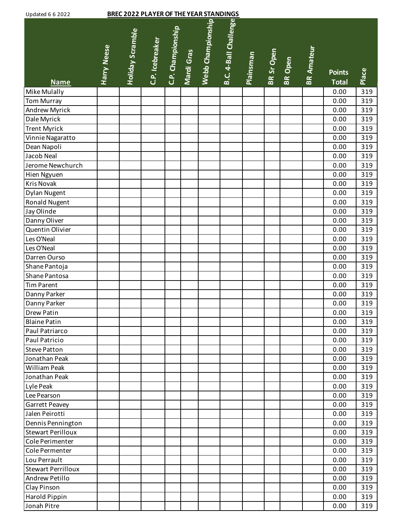| <b>Updated 6 6 2022</b>   |                    | <b>BREC 2022 PLAYER OF THE YEAR STANDINGS</b> |                 |                   |            |                   |                       |                  |                   |         |                   |                               |       |
|---------------------------|--------------------|-----------------------------------------------|-----------------|-------------------|------------|-------------------|-----------------------|------------------|-------------------|---------|-------------------|-------------------------------|-------|
| <b>Name</b>               | <b>Harry Neese</b> | <b>Holiday Scramble</b>                       | C.P. Icebreaker | C.P. Championship | Mardi Gras | Webb Championship | B.C. 4-Ball Challenge | <b>Plainsman</b> | <b>BR Sr Open</b> | BR Open | <b>BR Amateur</b> | <b>Points</b><br><b>Total</b> | Place |
| Mike Mulally              |                    |                                               |                 |                   |            |                   |                       |                  |                   |         |                   | 0.00                          | 319   |
| <b>Tom Murray</b>         |                    |                                               |                 |                   |            |                   |                       |                  |                   |         |                   | 0.00                          | 319   |
| Andrew Myrick             |                    |                                               |                 |                   |            |                   |                       |                  |                   |         |                   | 0.00                          | 319   |
| Dale Myrick               |                    |                                               |                 |                   |            |                   |                       |                  |                   |         |                   | 0.00                          | 319   |
| <b>Trent Myrick</b>       |                    |                                               |                 |                   |            |                   |                       |                  |                   |         |                   | 0.00                          | 319   |
| Vinnie Nagaratto          |                    |                                               |                 |                   |            |                   |                       |                  |                   |         |                   | 0.00                          | 319   |
| Dean Napoli               |                    |                                               |                 |                   |            |                   |                       |                  |                   |         |                   | 0.00                          | 319   |
| Jacob Neal                |                    |                                               |                 |                   |            |                   |                       |                  |                   |         |                   | 0.00                          | 319   |
| Jerome Newchurch          |                    |                                               |                 |                   |            |                   |                       |                  |                   |         |                   | 0.00                          | 319   |
| Hien Ngyuen               |                    |                                               |                 |                   |            |                   |                       |                  |                   |         |                   | 0.00                          | 319   |
| <b>Kris Novak</b>         |                    |                                               |                 |                   |            |                   |                       |                  |                   |         |                   | 0.00                          | 319   |
| Dylan Nugent              |                    |                                               |                 |                   |            |                   |                       |                  |                   |         |                   | 0.00                          | 319   |
| <b>Ronald Nugent</b>      |                    |                                               |                 |                   |            |                   |                       |                  |                   |         |                   | 0.00                          | 319   |
| Jay Olinde                |                    |                                               |                 |                   |            |                   |                       |                  |                   |         |                   | 0.00                          | 319   |
| Danny Oliver              |                    |                                               |                 |                   |            |                   |                       |                  |                   |         |                   | 0.00                          | 319   |
| Quentin Olivier           |                    |                                               |                 |                   |            |                   |                       |                  |                   |         |                   | 0.00                          | 319   |
| Les O'Neal                |                    |                                               |                 |                   |            |                   |                       |                  |                   |         |                   | 0.00                          | 319   |
| Les O'Neal                |                    |                                               |                 |                   |            |                   |                       |                  |                   |         |                   | 0.00                          | 319   |
| Darren Ourso              |                    |                                               |                 |                   |            |                   |                       |                  |                   |         |                   | 0.00                          | 319   |
| Shane Pantoja             |                    |                                               |                 |                   |            |                   |                       |                  |                   |         |                   | 0.00                          | 319   |
| Shane Pantosa             |                    |                                               |                 |                   |            |                   |                       |                  |                   |         |                   | 0.00                          | 319   |
| <b>Tim Parent</b>         |                    |                                               |                 |                   |            |                   |                       |                  |                   |         |                   | 0.00                          | 319   |
| Danny Parker              |                    |                                               |                 |                   |            |                   |                       |                  |                   |         |                   | 0.00                          | 319   |
| Danny Parker              |                    |                                               |                 |                   |            |                   |                       |                  |                   |         |                   | 0.00                          | 319   |
| Drew Patin                |                    |                                               |                 |                   |            |                   |                       |                  |                   |         |                   | 0.00                          | 319   |
| <b>Blaine Patin</b>       |                    |                                               |                 |                   |            |                   |                       |                  |                   |         |                   | 0.00                          | 319   |
| Paul Patriarco            |                    |                                               |                 |                   |            |                   |                       |                  |                   |         |                   | 0.00                          | 319   |
| Paul Patricio             |                    |                                               |                 |                   |            |                   |                       |                  |                   |         |                   | 0.00                          | 319   |
| <b>Steve Patton</b>       |                    |                                               |                 |                   |            |                   |                       |                  |                   |         |                   | 0.00                          | 319   |
| Jonathan Peak             |                    |                                               |                 |                   |            |                   |                       |                  |                   |         |                   | 0.00                          | 319   |
| <b>William Peak</b>       |                    |                                               |                 |                   |            |                   |                       |                  |                   |         |                   | 0.00                          | 319   |
| Jonathan Peak             |                    |                                               |                 |                   |            |                   |                       |                  |                   |         |                   | 0.00                          | 319   |
| Lyle Peak                 |                    |                                               |                 |                   |            |                   |                       |                  |                   |         |                   | 0.00                          | 319   |
| Lee Pearson               |                    |                                               |                 |                   |            |                   |                       |                  |                   |         |                   | 0.00                          | 319   |
| Garrett Peavey            |                    |                                               |                 |                   |            |                   |                       |                  |                   |         |                   | 0.00                          | 319   |
| Jalen Peirotti            |                    |                                               |                 |                   |            |                   |                       |                  |                   |         |                   | 0.00                          | 319   |
| Dennis Pennington         |                    |                                               |                 |                   |            |                   |                       |                  |                   |         |                   | 0.00                          | 319   |
| <b>Stewart Perilloux</b>  |                    |                                               |                 |                   |            |                   |                       |                  |                   |         |                   | 0.00                          | 319   |
| Cole Perimenter           |                    |                                               |                 |                   |            |                   |                       |                  |                   |         |                   | 0.00                          | 319   |
| Cole Permenter            |                    |                                               |                 |                   |            |                   |                       |                  |                   |         |                   | 0.00                          | 319   |
| Lou Perrault              |                    |                                               |                 |                   |            |                   |                       |                  |                   |         |                   | 0.00                          | 319   |
| <b>Stewart Perrilloux</b> |                    |                                               |                 |                   |            |                   |                       |                  |                   |         |                   | 0.00                          | 319   |
| Andrew Petillo            |                    |                                               |                 |                   |            |                   |                       |                  |                   |         |                   | 0.00                          | 319   |
| Clay Pinson               |                    |                                               |                 |                   |            |                   |                       |                  |                   |         |                   | 0.00                          | 319   |
| Harold Pippin             |                    |                                               |                 |                   |            |                   |                       |                  |                   |         |                   | 0.00                          | 319   |
| Jonah Pitre               |                    |                                               |                 |                   |            |                   |                       |                  |                   |         |                   | 0.00                          | 319   |
|                           |                    |                                               |                 |                   |            |                   |                       |                  |                   |         |                   |                               |       |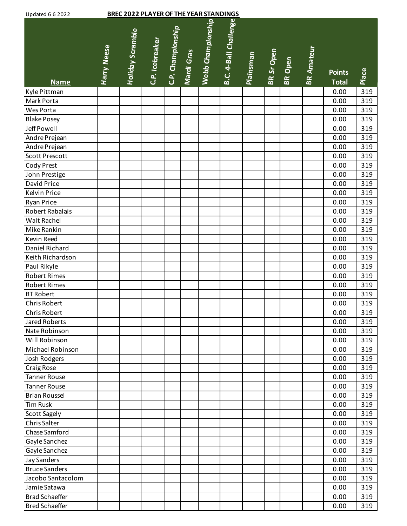| <b>Updated 6 6 2022</b> |                    |                         | <b>BREC 2022 PLAYER OF THE YEAR STANDINGS</b> |                   |            |                   |                       |                  |            |                |                   |                               |       |
|-------------------------|--------------------|-------------------------|-----------------------------------------------|-------------------|------------|-------------------|-----------------------|------------------|------------|----------------|-------------------|-------------------------------|-------|
| <b>Name</b>             | <b>Harry Neese</b> | <b>Holiday Scramble</b> | C.P. Icebreaker                               | C.P. Championship | Mardi Gras | Webb Championship | B.C. 4-Ball Challenge | <b>Plainsman</b> | BR Sr Open | <b>BR</b> Open | <b>BR Amateur</b> | <b>Points</b><br><b>Total</b> | Place |
| Kyle Pittman            |                    |                         |                                               |                   |            |                   |                       |                  |            |                |                   | 0.00                          | 319   |
| Mark Porta              |                    |                         |                                               |                   |            |                   |                       |                  |            |                |                   | 0.00                          | 319   |
| Wes Porta               |                    |                         |                                               |                   |            |                   |                       |                  |            |                |                   | 0.00                          | 319   |
| <b>Blake Posey</b>      |                    |                         |                                               |                   |            |                   |                       |                  |            |                |                   | 0.00                          | 319   |
| Jeff Powell             |                    |                         |                                               |                   |            |                   |                       |                  |            |                |                   | 0.00                          | 319   |
| Andre Prejean           |                    |                         |                                               |                   |            |                   |                       |                  |            |                |                   | 0.00                          | 319   |
| Andre Prejean           |                    |                         |                                               |                   |            |                   |                       |                  |            |                |                   | 0.00                          | 319   |
| <b>Scott Prescott</b>   |                    |                         |                                               |                   |            |                   |                       |                  |            |                |                   | 0.00                          | 319   |
| Cody Prest              |                    |                         |                                               |                   |            |                   |                       |                  |            |                |                   | 0.00                          | 319   |
| John Prestige           |                    |                         |                                               |                   |            |                   |                       |                  |            |                |                   | 0.00                          | 319   |
| David Price             |                    |                         |                                               |                   |            |                   |                       |                  |            |                |                   | 0.00                          | 319   |
| <b>Kelvin Price</b>     |                    |                         |                                               |                   |            |                   |                       |                  |            |                |                   | 0.00                          | 319   |
| <b>Ryan Price</b>       |                    |                         |                                               |                   |            |                   |                       |                  |            |                |                   | 0.00                          | 319   |
| Robert Rabalais         |                    |                         |                                               |                   |            |                   |                       |                  |            |                |                   | 0.00                          | 319   |
| Walt Rachel             |                    |                         |                                               |                   |            |                   |                       |                  |            |                |                   | 0.00                          | 319   |
| Mike Rankin             |                    |                         |                                               |                   |            |                   |                       |                  |            |                |                   | 0.00                          | 319   |
| Kevin Reed              |                    |                         |                                               |                   |            |                   |                       |                  |            |                |                   | 0.00                          | 319   |
| Daniel Richard          |                    |                         |                                               |                   |            |                   |                       |                  |            |                |                   | 0.00                          | 319   |
| Keith Richardson        |                    |                         |                                               |                   |            |                   |                       |                  |            |                |                   | 0.00                          | 319   |
| Paul Rikyle             |                    |                         |                                               |                   |            |                   |                       |                  |            |                |                   | 0.00                          | 319   |
| <b>Robert Rimes</b>     |                    |                         |                                               |                   |            |                   |                       |                  |            |                |                   | 0.00                          | 319   |
| Robert Rimes            |                    |                         |                                               |                   |            |                   |                       |                  |            |                |                   | 0.00                          | 319   |
| <b>BT Robert</b>        |                    |                         |                                               |                   |            |                   |                       |                  |            |                |                   | 0.00                          | 319   |
| <b>Chris Robert</b>     |                    |                         |                                               |                   |            |                   |                       |                  |            |                |                   | 0.00                          | 319   |
| Chris Robert            |                    |                         |                                               |                   |            |                   |                       |                  |            |                |                   | 0.00                          | 319   |
| Jared Roberts           |                    |                         |                                               |                   |            |                   |                       |                  |            |                |                   | 0.00                          | 319   |
| Nate Robinson           |                    |                         |                                               |                   |            |                   |                       |                  |            |                |                   | 0.00                          | 319   |
| Will Robinson           |                    |                         |                                               |                   |            |                   |                       |                  |            |                |                   | 0.00                          | 319   |
| Michael Robinson        |                    |                         |                                               |                   |            |                   |                       |                  |            |                |                   | 0.00                          | 319   |
| Josh Rodgers            |                    |                         |                                               |                   |            |                   |                       |                  |            |                |                   | 0.00                          | 319   |
| <b>Craig Rose</b>       |                    |                         |                                               |                   |            |                   |                       |                  |            |                |                   | 0.00                          | 319   |
| <b>Tanner Rouse</b>     |                    |                         |                                               |                   |            |                   |                       |                  |            |                |                   | 0.00                          | 319   |
| <b>Tanner Rouse</b>     |                    |                         |                                               |                   |            |                   |                       |                  |            |                |                   | 0.00                          | 319   |
| <b>Brian Roussel</b>    |                    |                         |                                               |                   |            |                   |                       |                  |            |                |                   | 0.00                          | 319   |
| <b>Tim Rusk</b>         |                    |                         |                                               |                   |            |                   |                       |                  |            |                |                   | 0.00                          | 319   |
| <b>Scott Sagely</b>     |                    |                         |                                               |                   |            |                   |                       |                  |            |                |                   | 0.00                          | 319   |
| Chris Salter            |                    |                         |                                               |                   |            |                   |                       |                  |            |                |                   | 0.00                          | 319   |
| Chase Samford           |                    |                         |                                               |                   |            |                   |                       |                  |            |                |                   | 0.00                          | 319   |
| Gayle Sanchez           |                    |                         |                                               |                   |            |                   |                       |                  |            |                |                   | 0.00                          | 319   |
| Gayle Sanchez           |                    |                         |                                               |                   |            |                   |                       |                  |            |                |                   | 0.00                          | 319   |
| <b>Jay Sanders</b>      |                    |                         |                                               |                   |            |                   |                       |                  |            |                |                   | 0.00                          | 319   |
| <b>Bruce Sanders</b>    |                    |                         |                                               |                   |            |                   |                       |                  |            |                |                   | 0.00                          | 319   |
| Jacobo Santacolom       |                    |                         |                                               |                   |            |                   |                       |                  |            |                |                   | 0.00                          | 319   |
| Jamie Satawa            |                    |                         |                                               |                   |            |                   |                       |                  |            |                |                   | 0.00                          | 319   |
| <b>Brad Schaeffer</b>   |                    |                         |                                               |                   |            |                   |                       |                  |            |                |                   | 0.00                          | 319   |
| <b>Bred Schaeffer</b>   |                    |                         |                                               |                   |            |                   |                       |                  |            |                |                   | 0.00                          | 319   |
|                         |                    |                         |                                               |                   |            |                   |                       |                  |            |                |                   |                               |       |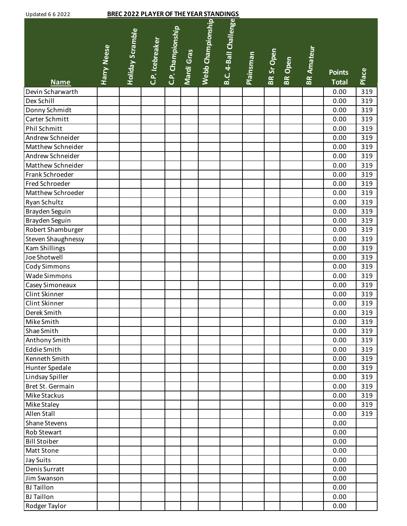| <b>Updated 6 6 2022</b> |             |                         | <b>BREC 2022 PLAYER OF THE YEAR STANDINGS</b> |                                 |                   |                       |           |            |         |                   |                               |       |
|-------------------------|-------------|-------------------------|-----------------------------------------------|---------------------------------|-------------------|-----------------------|-----------|------------|---------|-------------------|-------------------------------|-------|
| <b>Name</b>             | Harry Neese | <b>Holiday Scramble</b> | C.P. Icebreaker                               | C.P. Championship<br>Mardi Gras | Webb Championship | B.C. 4-Ball Challenge | Plainsman | BR Sr Open | BR Open | <b>BR Amateur</b> | <b>Points</b><br><b>Total</b> | Place |
| Devin Scharwarth        |             |                         |                                               |                                 |                   |                       |           |            |         |                   | 0.00                          | 319   |
| Dex Schill              |             |                         |                                               |                                 |                   |                       |           |            |         |                   | 0.00                          | 319   |
| Donny Schmidt           |             |                         |                                               |                                 |                   |                       |           |            |         |                   | 0.00                          | 319   |
| Carter Schmitt          |             |                         |                                               |                                 |                   |                       |           |            |         |                   | 0.00                          | 319   |
| Phil Schmitt            |             |                         |                                               |                                 |                   |                       |           |            |         |                   | 0.00                          | 319   |
| Andrew Schneider        |             |                         |                                               |                                 |                   |                       |           |            |         |                   | 0.00                          | 319   |
| Matthew Schneider       |             |                         |                                               |                                 |                   |                       |           |            |         |                   | 0.00                          | 319   |
| Andrew Schneider        |             |                         |                                               |                                 |                   |                       |           |            |         |                   | 0.00                          | 319   |
| Matthew Schneider       |             |                         |                                               |                                 |                   |                       |           |            |         |                   | 0.00                          | 319   |
| Frank Schroeder         |             |                         |                                               |                                 |                   |                       |           |            |         |                   | 0.00                          | 319   |
| Fred Schroeder          |             |                         |                                               |                                 |                   |                       |           |            |         |                   | 0.00                          | 319   |
| Matthew Schroeder       |             |                         |                                               |                                 |                   |                       |           |            |         |                   | 0.00                          | 319   |
| Ryan Schultz            |             |                         |                                               |                                 |                   |                       |           |            |         |                   | 0.00                          | 319   |
| Brayden Seguin          |             |                         |                                               |                                 |                   |                       |           |            |         |                   | 0.00                          | 319   |
| Brayden Seguin          |             |                         |                                               |                                 |                   |                       |           |            |         |                   | 0.00                          | 319   |
| Robert Shamburger       |             |                         |                                               |                                 |                   |                       |           |            |         |                   | 0.00                          | 319   |
| Steven Shaughnessy      |             |                         |                                               |                                 |                   |                       |           |            |         |                   | 0.00                          | 319   |
| <b>Kam Shillings</b>    |             |                         |                                               |                                 |                   |                       |           |            |         |                   | 0.00                          | 319   |
| Joe Shotwell            |             |                         |                                               |                                 |                   |                       |           |            |         |                   | 0.00                          | 319   |
| <b>Cody Simmons</b>     |             |                         |                                               |                                 |                   |                       |           |            |         |                   | 0.00                          | 319   |
| Wade Simmons            |             |                         |                                               |                                 |                   |                       |           |            |         |                   | 0.00                          | 319   |
| Casey Simoneaux         |             |                         |                                               |                                 |                   |                       |           |            |         |                   | 0.00                          | 319   |
| Clint Skinner           |             |                         |                                               |                                 |                   |                       |           |            |         |                   | 0.00                          | 319   |
| Clint Skinner           |             |                         |                                               |                                 |                   |                       |           |            |         |                   | 0.00                          | 319   |
| Derek Smith             |             |                         |                                               |                                 |                   |                       |           |            |         |                   | 0.00                          | 319   |
| Mike Smith              |             |                         |                                               |                                 |                   |                       |           |            |         |                   | 0.00                          | 319   |
| Shae Smith              |             |                         |                                               |                                 |                   |                       |           |            |         |                   | 0.00                          | 319   |
| Anthony Smith           |             |                         |                                               |                                 |                   |                       |           |            |         |                   | 0.00                          | 319   |
| <b>Eddie Smith</b>      |             |                         |                                               |                                 |                   |                       |           |            |         |                   | 0.00                          | 319   |
| Kenneth Smith           |             |                         |                                               |                                 |                   |                       |           |            |         |                   | 0.00                          | 319   |
| Hunter Spedale          |             |                         |                                               |                                 |                   |                       |           |            |         |                   | 0.00                          | 319   |
| Lindsay Spiller         |             |                         |                                               |                                 |                   |                       |           |            |         |                   | 0.00                          | 319   |
| Bret St. Germain        |             |                         |                                               |                                 |                   |                       |           |            |         |                   | 0.00                          | 319   |
| Mike Stackus            |             |                         |                                               |                                 |                   |                       |           |            |         |                   | 0.00                          | 319   |
| Mike Staley             |             |                         |                                               |                                 |                   |                       |           |            |         |                   | 0.00                          | 319   |
| Allen Stall             |             |                         |                                               |                                 |                   |                       |           |            |         |                   | 0.00                          | 319   |
| Shane Stevens           |             |                         |                                               |                                 |                   |                       |           |            |         |                   | 0.00                          |       |
| Rob Stewart             |             |                         |                                               |                                 |                   |                       |           |            |         |                   | 0.00                          |       |
| <b>Bill Stoiber</b>     |             |                         |                                               |                                 |                   |                       |           |            |         |                   | 0.00                          |       |
| Matt Stone              |             |                         |                                               |                                 |                   |                       |           |            |         |                   | 0.00                          |       |
| Jay Suits               |             |                         |                                               |                                 |                   |                       |           |            |         |                   | 0.00                          |       |
| Denis Surratt           |             |                         |                                               |                                 |                   |                       |           |            |         |                   | 0.00                          |       |
| Jim Swanson             |             |                         |                                               |                                 |                   |                       |           |            |         |                   | 0.00                          |       |
| <b>BJ</b> Taillon       |             |                         |                                               |                                 |                   |                       |           |            |         |                   | 0.00                          |       |
| <b>BJ</b> Taillon       |             |                         |                                               |                                 |                   |                       |           |            |         |                   | 0.00                          |       |
| Rodger Taylor           |             |                         |                                               |                                 |                   |                       |           |            |         |                   | 0.00                          |       |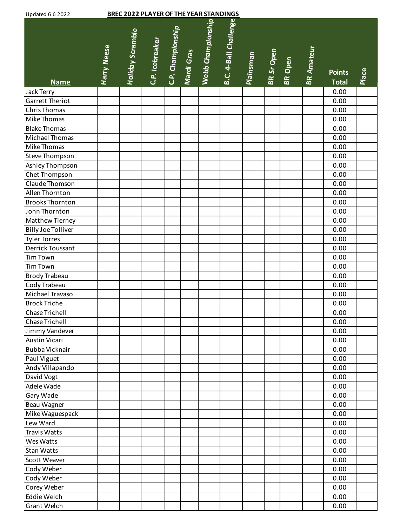| <b>Updated 6 6 2022</b>   |             | <b>BREC 2022 PLAYER OF THE YEAR STANDINGS</b> |                 |                   |            |                   |                       |                  |            |                |                   |               |       |
|---------------------------|-------------|-----------------------------------------------|-----------------|-------------------|------------|-------------------|-----------------------|------------------|------------|----------------|-------------------|---------------|-------|
|                           | Harry Neese | <b>Holiday Scramble</b>                       | C.P. Icebreaker | C.P. Championship | Mardi Gras | Webb Championship | B.C. 4-Ball Challenge | <b>Plainsman</b> | BR Sr Open | <b>BR</b> Open | <b>BR Amateur</b> | <b>Points</b> | Place |
| <b>Name</b>               |             |                                               |                 |                   |            |                   |                       |                  |            |                |                   | <b>Total</b>  |       |
| Jack Terry                |             |                                               |                 |                   |            |                   |                       |                  |            |                |                   | 0.00          |       |
| <b>Garrett Theriot</b>    |             |                                               |                 |                   |            |                   |                       |                  |            |                |                   | 0.00          |       |
| Chris Thomas              |             |                                               |                 |                   |            |                   |                       |                  |            |                |                   | 0.00          |       |
| Mike Thomas               |             |                                               |                 |                   |            |                   |                       |                  |            |                |                   | 0.00          |       |
| <b>Blake Thomas</b>       |             |                                               |                 |                   |            |                   |                       |                  |            |                |                   | 0.00          |       |
| Michael Thomas            |             |                                               |                 |                   |            |                   |                       |                  |            |                |                   | 0.00          |       |
| Mike Thomas               |             |                                               |                 |                   |            |                   |                       |                  |            |                |                   | 0.00          |       |
| Steve Thompson            |             |                                               |                 |                   |            |                   |                       |                  |            |                |                   | 0.00          |       |
| Ashley Thompson           |             |                                               |                 |                   |            |                   |                       |                  |            |                |                   | 0.00          |       |
| Chet Thompson             |             |                                               |                 |                   |            |                   |                       |                  |            |                |                   | 0.00          |       |
| Claude Thomson            |             |                                               |                 |                   |            |                   |                       |                  |            |                |                   | 0.00          |       |
| Allen Thornton            |             |                                               |                 |                   |            |                   |                       |                  |            |                |                   | 0.00          |       |
| <b>Brooks Thornton</b>    |             |                                               |                 |                   |            |                   |                       |                  |            |                |                   | 0.00          |       |
| John Thornton             |             |                                               |                 |                   |            |                   |                       |                  |            |                |                   | 0.00          |       |
| Matthew Tierney           |             |                                               |                 |                   |            |                   |                       |                  |            |                |                   | 0.00          |       |
| <b>Billy Joe Tolliver</b> |             |                                               |                 |                   |            |                   |                       |                  |            |                |                   | 0.00          |       |
| <b>Tyler Torres</b>       |             |                                               |                 |                   |            |                   |                       |                  |            |                |                   | 0.00          |       |
| Derrick Toussant          |             |                                               |                 |                   |            |                   |                       |                  |            |                |                   | 0.00          |       |
| <b>Tim Town</b>           |             |                                               |                 |                   |            |                   |                       |                  |            |                |                   | 0.00          |       |
| <b>Tim Town</b>           |             |                                               |                 |                   |            |                   |                       |                  |            |                |                   | 0.00          |       |
| Brody Trabeau             |             |                                               |                 |                   |            |                   |                       |                  |            |                |                   | 0.00          |       |
| Cody Trabeau              |             |                                               |                 |                   |            |                   |                       |                  |            |                |                   | 0.00          |       |
| Michael Travaso           |             |                                               |                 |                   |            |                   |                       |                  |            |                |                   | 0.00          |       |
| <b>Brock Triche</b>       |             |                                               |                 |                   |            |                   |                       |                  |            |                |                   | 0.00          |       |
| Chase Trichell            |             |                                               |                 |                   |            |                   |                       |                  |            |                |                   | 0.00          |       |
| Chase Trichell            |             |                                               |                 |                   |            |                   |                       |                  |            |                |                   | 0.00          |       |
| Jimmy Vandever            |             |                                               |                 |                   |            |                   |                       |                  |            |                |                   | 0.00          |       |
| Austin Vicari             |             |                                               |                 |                   |            |                   |                       |                  |            |                |                   | 0.00          |       |
| Bubba Vicknair            |             |                                               |                 |                   |            |                   |                       |                  |            |                |                   | 0.00          |       |
| Paul Viguet               |             |                                               |                 |                   |            |                   |                       |                  |            |                |                   | 0.00          |       |
| Andy Villapando           |             |                                               |                 |                   |            |                   |                       |                  |            |                |                   | 0.00          |       |
| David Vogt                |             |                                               |                 |                   |            |                   |                       |                  |            |                |                   | 0.00          |       |
| Adele Wade                |             |                                               |                 |                   |            |                   |                       |                  |            |                |                   | 0.00          |       |
| Gary Wade                 |             |                                               |                 |                   |            |                   |                       |                  |            |                |                   | 0.00          |       |
| Beau Wagner               |             |                                               |                 |                   |            |                   |                       |                  |            |                |                   | 0.00          |       |
| Mike Waguespack           |             |                                               |                 |                   |            |                   |                       |                  |            |                |                   | 0.00          |       |
| Lew Ward                  |             |                                               |                 |                   |            |                   |                       |                  |            |                |                   | 0.00          |       |
| <b>Travis Watts</b>       |             |                                               |                 |                   |            |                   |                       |                  |            |                |                   | 0.00          |       |
| Wes Watts                 |             |                                               |                 |                   |            |                   |                       |                  |            |                |                   | 0.00          |       |
| Stan Watts                |             |                                               |                 |                   |            |                   |                       |                  |            |                |                   | 0.00          |       |
| Scott Weaver              |             |                                               |                 |                   |            |                   |                       |                  |            |                |                   | 0.00          |       |
| Cody Weber                |             |                                               |                 |                   |            |                   |                       |                  |            |                |                   | 0.00          |       |
| Cody Weber                |             |                                               |                 |                   |            |                   |                       |                  |            |                |                   | 0.00          |       |
| Corey Weber               |             |                                               |                 |                   |            |                   |                       |                  |            |                |                   | 0.00          |       |
| Eddie Welch               |             |                                               |                 |                   |            |                   |                       |                  |            |                |                   | 0.00          |       |
| Grant Welch               |             |                                               |                 |                   |            |                   |                       |                  |            |                |                   | 0.00          |       |